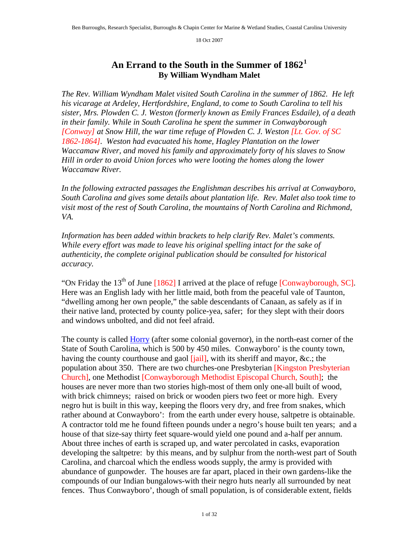# **An Errand to the South in the Summer of 1862[1](#page-31-0) By William Wyndham Malet**

*The Rev. William Wyndham Malet visited South Carolina in the summer of 1862. He left his vicarage at Ardeley, Hertfordshire, England, to come to South Carolina to tell his sister, Mrs. Plowden C. J. Weston (formerly known as Emily Frances Esdaile), of a death in their family. While in South Carolina he spent the summer in Conwayborough [Conway] at Snow Hill, the war time refuge of Plowden C. J. Weston [Lt. Gov. of SC 1862-1864]. Weston had evacuated his home, Hagley Plantation on the lower Waccamaw River, and moved his family and approximately forty of his slaves to Snow Hill in order to avoid Union forces who were looting the homes along the lower Waccamaw River.* 

*In the following extracted passages the Englishman describes his arrival at Conwayboro, South Carolina and gives some details about plantation life. Rev. Malet also took time to visit most of the rest of South Carolina, the mountains of North Carolina and Richmond, VA.* 

*Information has been added within brackets to help clarify Rev. Malet's comments. While every effort was made to leave his original spelling intact for the sake of authenticity, the complete original publication should be consulted for historical accuracy.*

"ON Friday the  $13<sup>th</sup>$  of June [1862] I arrived at the place of refuge [Conwayborough, SC]. Here was an English lady with her little maid, both from the peaceful vale of Taunton, "dwelling among her own people," the sable descendants of Canaan, as safely as if in their native land, protected by county police-yea, safer; for they slept with their doors and windows unbolted, and did not feel afraid.

The county is called [Horry](http://www.hchsonline.org/peterhorry.html) (after some colonial governor), in the north-east corner of the State of South Carolina, which is 500 by 450 miles. Conwayboro' is the county town, having the county courthouse and gaol *[jail]*, with its sheriff and mayor, &c.; the population about 350. There are two churches-one Presbyterian [Kingston Presbyterian Church], one Methodist [Conwayborough Methodist Episcopal Church, South]; the houses are never more than two stories high-most of them only one-all built of wood, with brick chimneys; raised on brick or wooden piers two feet or more high. Every negro hut is built in this way, keeping the floors very dry, and free from snakes, which rather abound at Conwayboro': from the earth under every house, saltpetre is obtainable. A contractor told me he found fifteen pounds under a negro's house built ten years; and a house of that size-say thirty feet square-would yield one pound and a-half per annum. About three inches of earth is scraped up, and water percolated in casks, evaporation developing the saltpetre: by this means, and by sulphur from the north-west part of South Carolina, and charcoal which the endless woods supply, the army is provided with abundance of gunpowder. The houses are far apart, placed in their own gardens-like the compounds of our Indian bungalows-with their negro huts nearly all surrounded by neat fences. Thus Conwayboro', though of small population, is of considerable extent, fields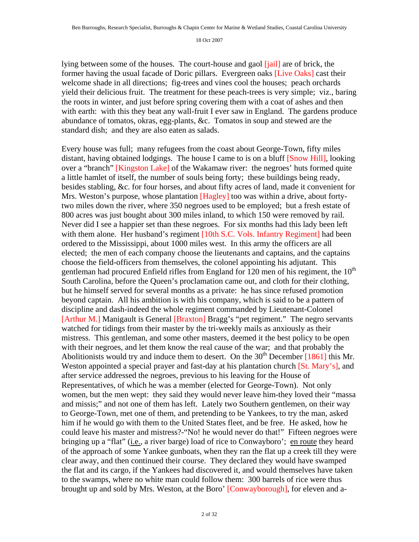lying between some of the houses. The court-house and gaol *[jail]* are of brick, the former having the usual facade of Doric pillars. Evergreen oaks [Live Oaks] cast their welcome shade in all directions; fig-trees and vines cool the houses; peach orchards yield their delicious fruit. The treatment for these peach-trees is very simple; viz., baring the roots in winter, and just before spring covering them with a coat of ashes and then with earth: with this they beat any wall-fruit I ever saw in England. The gardens produce abundance of tomatos, okras, egg-plants, &c. Tomatos in soup and stewed are the standard dish; and they are also eaten as salads.

Every house was full; many refugees from the coast about George-Town, fifty miles distant, having obtained lodgings. The house I came to is on a bluff [Snow Hill], looking over a "branch" [Kingston Lake] of the Wakamaw river: the negroes' huts formed quite a little hamlet of itself, the number of souls being forty; these buildings being ready, besides stabling, &c. for four horses, and about fifty acres of land, made it convenient for Mrs. Weston's purpose, whose plantation [Hagley] too was within a drive, about fortytwo miles down the river, where 350 negroes used to be employed; but a fresh estate of 800 acres was just bought about 300 miles inland, to which 150 were removed by rail. Never did I see a happier set than these negroes. For six months had this lady been left with them alone. Her husband's regiment [10th S.C. Vols. Infantry Regiment] had been ordered to the Mississippi, about 1000 miles west. In this army the officers are all elected; the men of each company choose the lieutenants and captains, and the captains choose the field-officers from themselves, the colonel appointing his adjutant. This gentleman had procured Enfield rifles from England for  $120$  men of his regiment, the  $10<sup>th</sup>$ South Carolina, before the Queen's proclamation came out, and cloth for their clothing, but he himself served for several months as a private: he has since refused promotion beyond captain. All his ambition is with his company, which is said to be a pattern of discipline and dash-indeed the whole regiment commanded by Lieutenant-Colonel [Arthur M.] Manigault is General [Braxton] Bragg's "pet regiment." The negro servants watched for tidings from their master by the tri-weekly mails as anxiously as their mistress. This gentleman, and some other masters, deemed it the best policy to be open with their negroes, and let them know the real cause of the war; and that probably the Abolitionists would try and induce them to desert. On the  $30<sup>th</sup>$  December [1861] this Mr. Weston appointed a special prayer and fast-day at his plantation church [St. Mary's], and after service addressed the negroes, previous to his leaving for the House of Representatives, of which he was a member (elected for George-Town). Not only women, but the men wept: they said they would never leave him-they loved their "massa and missis;" and not one of them has left. Lately two Southern gentlemen, on their way to George-Town, met one of them, and pretending to be Yankees, to try the man, asked him if he would go with them to the United States fleet, and be free. He asked, how he could leave his master and mistress?-"No! he would never do that!" Fifteen negroes were bringing up a "flat" (i.e., a river barge) load of rice to Conwayboro'; en route they heard of the approach of some Yankee gunboats, when they ran the flat up a creek till they were clear away, and then continued their course. They declared they would have swamped the flat and its cargo, if the Yankees had discovered it, and would themselves have taken to the swamps, where no white man could follow them: 300 barrels of rice were thus brought up and sold by Mrs. Weston, at the Boro' [Conwayborough], for eleven and a-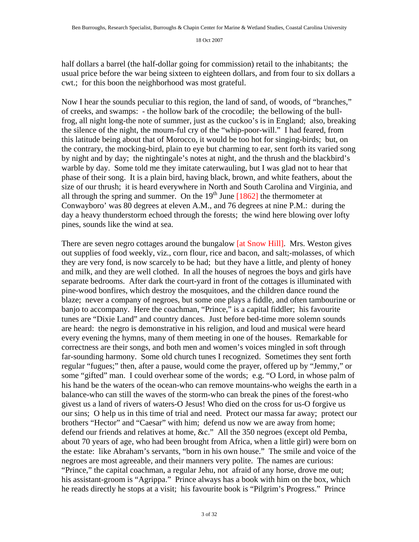half dollars a barrel (the half-dollar going for commission) retail to the inhabitants; the usual price before the war being sixteen to eighteen dollars, and from four to six dollars a cwt.; for this boon the neighborhood was most grateful.

Now I hear the sounds peculiar to this region, the land of sand, of woods, of "branches," of creeks, and swamps: - the hollow bark of the crocodile; the bellowing of the bullfrog, all night long-the note of summer, just as the cuckoo's is in England; also, breaking the silence of the night, the mourn-ful cry of the "whip-poor-will." I had feared, from this latitude being about that of Morocco, it would be too hot for singing-birds; but, on the contrary, the mocking-bird, plain to eye but charming to ear, sent forth its varied song by night and by day; the nightingale's notes at night, and the thrush and the blackbird's warble by day. Some told me they imitate caterwauling, but I was glad not to hear that phase of their song. It is a plain bird, having black, brown, and white feathers, about the size of our thrush; it is heard everywhere in North and South Carolina and Virginia, and all through the spring and summer. On the  $19<sup>th</sup>$  June [1862] the thermometer at Conwayboro' was 80 degrees at eleven A.M., and 76 degrees at nine P.M.: during the day a heavy thunderstorm echoed through the forests; the wind here blowing over lofty pines, sounds like the wind at sea.

There are seven negro cottages around the bungalow [at Snow Hill]. Mrs. Weston gives out supplies of food weekly, viz., corn flour, rice and bacon, and salt;-molasses, of which they are very fond, is now scarcely to be had; but they have a little, and plenty of honey and milk, and they are well clothed. In all the houses of negroes the boys and girls have separate bedrooms. After dark the court-yard in front of the cottages is illuminated with pine-wood bonfires, which destroy the mosquitoes, and the children dance round the blaze; never a company of negroes, but some one plays a fiddle, and often tambourine or banjo to accompany. Here the coachman, "Prince," is a capital fiddler; his favourite tunes are "Dixie Land" and country dances. Just before bed-time more solemn sounds are heard: the negro is demonstrative in his religion, and loud and musical were heard every evening the hymns, many of them meeting in one of the houses. Remarkable for correctness are their songs, and both men and women's voices mingled in soft through far-sounding harmony. Some old church tunes I recognized. Sometimes they sent forth regular "fugues;" then, after a pause, would come the prayer, offered up by "Jemmy," or some "gifted" man. I could overhear some of the words; e.g. "O Lord, in whose palm of his hand be the waters of the ocean-who can remove mountains-who weighs the earth in a balance-who can still the waves of the storm-who can break the pines of the forest-who givest us a land of rivers of waters-O Jesus! Who died on the cross for us-O forgive us our sins; O help us in this time of trial and need. Protect our massa far away; protect our brothers "Hector" and "Caesar" with him; defend us now we are away from home; defend our friends and relatives at home, &c." All the 350 negroes (except old Pemba, about 70 years of age, who had been brought from Africa, when a little girl) were born on the estate: like Abraham's servants, "born in his own house." The smile and voice of the negroes are most agreeable, and their manners very polite. The names are curious: "Prince," the capital coachman, a regular Jehu, not afraid of any horse, drove me out; his assistant-groom is "Agrippa." Prince always has a book with him on the box, which he reads directly he stops at a visit; his favourite book is "Pilgrim's Progress." Prince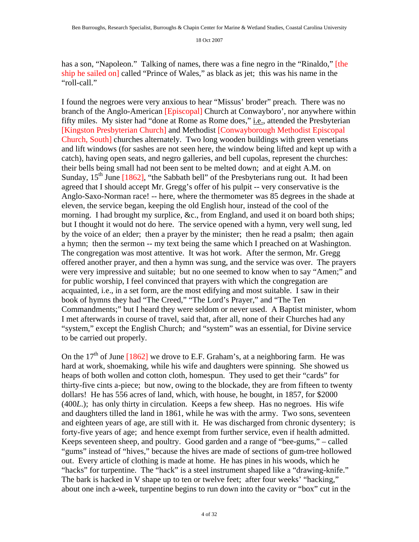has a son, "Napoleon." Talking of names, there was a fine negro in the "Rinaldo," [the ship he sailed on] called "Prince of Wales," as black as jet; this was his name in the "roll-call."

I found the negroes were very anxious to hear "Missus' broder" preach. There was no branch of the Anglo-American [Episcopal] Church at Conwayboro', nor anywhere within fifty miles. My sister had "done at Rome as Rome does," i.e., attended the Presbyterian [Kingston Presbyterian Church] and Methodist [Conwayborough Methodist Episcopal Church, South] churches alternately. Two long wooden buildings with green venetians and lift windows (for sashes are not seen here, the window being lifted and kept up with a catch), having open seats, and negro galleries, and bell cupolas, represent the churches: their bells being small had not been sent to be melted down; and at eight A.M. on Sunday,  $15<sup>th</sup>$  June [1862], "the Sabbath bell" of the Presbyterians rung out. It had been agreed that I should accept Mr. Gregg's offer of his pulpit -- very conservative is the Anglo-Saxo-Norman race! -- here, where the thermometer was 85 degrees in the shade at eleven, the service began, keeping the old English hour, instead of the cool of the morning. I had brought my surplice, &c., from England, and used it on board both ships; but I thought it would not do here. The service opened with a hymn, very well sung, led by the voice of an elder; then a prayer by the minister; then he read a psalm; then again a hymn; then the sermon -- my text being the same which I preached on at Washington. The congregation was most attentive. It was hot work. After the sermon, Mr. Gregg offered another prayer, and then a hymn was sung, and the service was over. The prayers were very impressive and suitable; but no one seemed to know when to say "Amen;" and for public worship, I feel convinced that prayers with which the congregation are acquainted, i.e., in a set form, are the most edifying and most suitable. I saw in their book of hymns they had "The Creed," "The Lord's Prayer," and "The Ten Commandments;" but I heard they were seldom or never used. A Baptist minister, whom I met afterwards in course of travel, said that, after all, none of their Churches had any "system," except the English Church; and "system" was an essential, for Divine service to be carried out properly.

On the  $17<sup>th</sup>$  of June [1862] we drove to E.F. Graham's, at a neighboring farm. He was hard at work, shoemaking, while his wife and daughters were spinning. She showed us heaps of both wollen and cotton cloth, homespun. They used to get their "cards" for thirty-five cints a-piece; but now, owing to the blockade, they are from fifteen to twenty dollars! He has 556 acres of land, which, with house, he bought, in 1857, for \$2000 (400*L*.); has only thirty in circulation. Keeps a few sheep. Has no negroes. His wife and daughters tilled the land in 1861, while he was with the army. Two sons, seventeen and eighteen years of age, are still with it. He was discharged from chronic dysentery; is forty-five years of age; and hence exempt from further service, even if health admitted. Keeps seventeen sheep, and poultry. Good garden and a range of "bee-gums," – called "gums" instead of "hives," because the hives are made of sections of gum-tree hollowed out. Every article of clothing is made at home. He has pines in his woods, which he "hacks" for turpentine. The "hack" is a steel instrument shaped like a "drawing-knife." The bark is hacked in V shape up to ten or twelve feet; after four weeks' "hacking," about one inch a-week, turpentine begins to run down into the cavity or "box" cut in the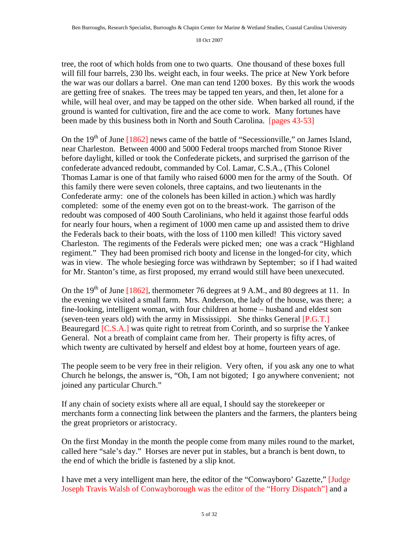tree, the root of which holds from one to two quarts. One thousand of these boxes full will fill four barrels, 230 lbs. weight each, in four weeks. The price at New York before the war was our dollars a barrel. One man can tend 1200 boxes. By this work the woods are getting free of snakes. The trees may be tapped ten years, and then, let alone for a while, will heal over, and may be tapped on the other side. When barked all round, if the ground is wanted for cultivation, fire and the ace come to work. Many fortunes have been made by this business both in North and South Carolina. [pages 43-53]

On the  $19<sup>th</sup>$  of June [1862] news came of the battle of "Secessionville," on James Island, near Charleston. Between 4000 and 5000 Federal troops marched from Stonoe River before daylight, killed or took the Confederate pickets, and surprised the garrison of the confederate advanced redoubt, commanded by Col. Lamar, C.S.A., (This Colonel Thomas Lamar is one of that family who raised 6000 men for the army of the South. Of this family there were seven colonels, three captains, and two lieutenants in the Confederate army: one of the colonels has been killed in action.) which was hardly completed: some of the enemy even got on to the breast-work. The garrison of the redoubt was composed of 400 South Carolinians, who held it against those fearful odds for nearly four hours, when a regiment of 1000 men came up and assisted them to drive the Federals back to their boats, with the loss of 1100 men killed! This victory saved Charleston. The regiments of the Federals were picked men; one was a crack "Highland regiment." They had been promised rich booty and license in the longed-for city, which was in view. The whole besieging force was withdrawn by September; so if I had waited for Mr. Stanton's time, as first proposed, my errand would still have been unexecuted.

On the 19<sup>th</sup> of June [1862], thermometer 76 degrees at 9 A.M., and 80 degrees at 11. In the evening we visited a small farm. Mrs. Anderson, the lady of the house, was there; a fine-looking, intelligent woman, with four children at home – husband and eldest son (seven-teen years old) with the army in Mississippi. She thinks General [P.G.T.] Beauregard [C.S.A.] was quite right to retreat from Corinth, and so surprise the Yankee General. Not a breath of complaint came from her. Their property is fifty acres, of which twenty are cultivated by herself and eldest boy at home, fourteen years of age.

The people seem to be very free in their religion. Very often, if you ask any one to what Church he belongs, the answer is, "Oh, I am not bigoted; I go anywhere convenient; not joined any particular Church."

If any chain of society exists where all are equal, I should say the storekeeper or merchants form a connecting link between the planters and the farmers, the planters being the great proprietors or aristocracy.

On the first Monday in the month the people come from many miles round to the market, called here "sale's day." Horses are never put in stables, but a branch is bent down, to the end of which the bridle is fastened by a slip knot.

I have met a very intelligent man here, the editor of the "Conwayboro' Gazette," [Judge Joseph Travis Walsh of Conwayborough was the editor of the "Horry Dispatch"] and a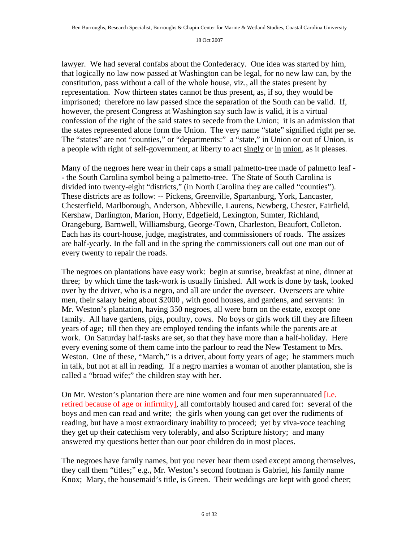lawyer. We had several confabs about the Confederacy. One idea was started by him, that logically no law now passed at Washington can be legal, for no new law can, by the constitution, pass without a call of the whole house, viz., all the states present by representation. Now thirteen states cannot be thus present, as, if so, they would be imprisoned; therefore no law passed since the separation of the South can be valid. If, however, the present Congress at Washington say such law is valid, it is a virtual confession of the right of the said states to secede from the Union; it is an admission that the states represented alone form the Union. The very name "state" signified right per se. The "states" are not "counties," or "departments:" a "state," in Union or out of Union, is a people with right of self-government, at liberty to act singly or in union, as it pleases.

Many of the negroes here wear in their caps a small palmetto-tree made of palmetto leaf - - the South Carolina symbol being a palmetto-tree. The State of South Carolina is divided into twenty-eight "districts," (in North Carolina they are called "counties"). These districts are as follow: -- Pickens, Greenville, Spartanburg, York, Lancaster, Chesterfield, Marlborough, Anderson, Abbeville, Laurens, Newberg, Chester, Fairfield, Kershaw, Darlington, Marion, Horry, Edgefield, Lexington, Sumter, Richland, Orangeburg, Barnwell, Williamsburg, George-Town, Charleston, Beaufort, Colleton. Each has its court-house, judge, magistrates, and commissioners of roads. The assizes are half-yearly. In the fall and in the spring the commissioners call out one man out of every twenty to repair the roads.

The negroes on plantations have easy work: begin at sunrise, breakfast at nine, dinner at three; by which time the task-work is usually finished. All work is done by task, looked over by the driver, who is a negro, and all are under the overseer. Overseers are white men, their salary being about \$2000 , with good houses, and gardens, and servants: in Mr. Weston's plantation, having 350 negroes, all were born on the estate, except one family. All have gardens, pigs, poultry, cows. No boys or girls work till they are fifteen years of age; till then they are employed tending the infants while the parents are at work. On Saturday half-tasks are set, so that they have more than a half-holiday. Here every evening some of them came into the parlour to read the New Testament to Mrs. Weston. One of these, "March," is a driver, about forty years of age; he stammers much in talk, but not at all in reading. If a negro marries a woman of another plantation, she is called a "broad wife;" the children stay with her.

On Mr. Weston's plantation there are nine women and four men superannuated *[i.e.*] retired because of age or infirmity], all comfortably housed and cared for: several of the boys and men can read and write; the girls when young can get over the rudiments of reading, but have a most extraordinary inability to proceed; yet by viva-voce teaching they get up their catechism very tolerably, and also Scripture history; and many answered my questions better than our poor children do in most places.

The negroes have family names, but you never hear them used except among themselves, they call them "titles;"  $\underline{e}$ , Mr. Weston's second footman is Gabriel, his family name Knox; Mary, the housemaid's title, is Green. Their weddings are kept with good cheer;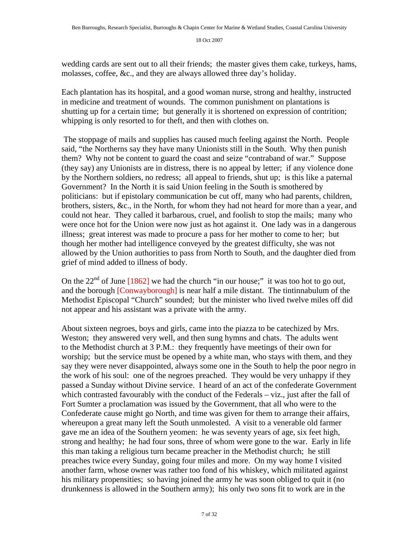wedding cards are sent out to all their friends; the master gives them cake, turkeys, hams, molasses, coffee, &c., and they are always allowed three day's holiday.

Each plantation has its hospital, and a good woman nurse, strong and healthy, instructed in medicine and treatment of wounds. The common punishment on plantations is shutting up for a certain time; but generally it is shortened on expression of contrition; whipping is only resorted to for theft, and then with clothes on.

 The stoppage of mails and supplies has caused much feeling against the North. People said, "the Northerns say they have many Unionists still in the South. Why then punish them? Why not be content to guard the coast and seize "contraband of war." Suppose (they say) any Unionists are in distress, there is no appeal by letter; if any violence done by the Northern soldiers, no redress; all appeal to friends, shut up; is this like a paternal Government? In the North it is said Union feeling in the South is smothered by politicians: but if epistolary communication be cut off, many who had parents, children, brothers, sisters, &c., in the North, for whom they had not heard for more than a year, and could not hear. They called it barbarous, cruel, and foolish to stop the mails; many who were once hot for the Union were now just as hot against it. One lady was in a dangerous illness; great interest was made to procure a pass for her mother to come to her; but though her mother had intelligence conveyed by the greatest difficulty, she was not allowed by the Union authorities to pass from North to South, and the daughter died from grief of mind added to illness of body.

On the  $22<sup>nd</sup>$  of June [1862] we had the church "in our house;" it was too hot to go out, and the borough [Conwayborough] is near half a mile distant. The tintinnabulum of the Methodist Episcopal "Church" sounded; but the minister who lived twelve miles off did not appear and his assistant was a private with the army.

About sixteen negroes, boys and girls, came into the piazza to be catechized by Mrs. Weston; they answered very well, and then sung hymns and chats. The adults went to the Methodist church at 3 P.M.: they frequently have meetings of their own for worship; but the service must be opened by a white man, who stays with them, and they say they were never disappointed, always some one in the South to help the poor negro in the work of his soul: one of the negroes preached. They would be very unhappy if they passed a Sunday without Divine service. I heard of an act of the confederate Government which contrasted favourably with the conduct of the Federals – viz., just after the fall of Fort Sumter a proclamation was issued by the Government, that all who were to the Confederate cause might go North, and time was given for them to arrange their affairs, whereupon a great many left the South unmolested. A visit to a venerable old farmer gave me an idea of the Southern yeomen: he was seventy years of age, six feet high, strong and healthy; he had four sons, three of whom were gone to the war. Early in life this man taking a religious turn became preacher in the Methodist church; he still preaches twice every Sunday, going four miles and more. On my way home I visited another farm, whose owner was rather too fond of his whiskey, which militated against his military propensities; so having joined the army he was soon obliged to quit it (no drunkenness is allowed in the Southern army); his only two sons fit to work are in the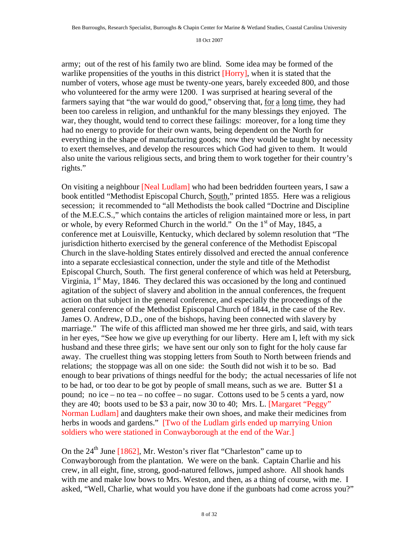army; out of the rest of his family two are blind. Some idea may be formed of the warlike propensities of the youths in this district [Horry], when it is stated that the number of voters, whose age must be twenty-one years, barely exceeded 800, and those who volunteered for the army were 1200. I was surprised at hearing several of the farmers saying that "the war would do good," observing that, for a long time, they had been too careless in religion, and unthankful for the many blessings they enjoyed. The war, they thought, would tend to correct these failings: moreover, for a long time they had no energy to provide for their own wants, being dependent on the North for everything in the shape of manufacturing goods; now they would be taught by necessity to exert themselves, and develop the resources which God had given to them. It would also unite the various religious sects, and bring them to work together for their country's rights."

On visiting a neighbour [Neal Ludlam] who had been bedridden fourteen years, I saw a book entitled "Methodist Episcopal Church, South," printed 1855. Here was a religious secession; it recommended to "all Methodists the book called "Doctrine and Discipline of the M.E.C.S.," which contains the articles of religion maintained more or less, in part or whole, by every Reformed Church in the world." On the 1<sup>st</sup> of May, 1845, a conference met at Louisville, Kentucky, which declared by solemn resolution that "The jurisdiction hitherto exercised by the general conference of the Methodist Episcopal Church in the slave-holding States entirely dissolved and erected the annual conference into a separate ecclesiastical connection, under the style and title of the Methodist Episcopal Church, South. The first general conference of which was held at Petersburg, Virginia,  $1<sup>st</sup>$  May, 1846. They declared this was occasioned by the long and continued agitation of the subject of slavery and abolition in the annual conferences, the frequent action on that subject in the general conference, and especially the proceedings of the general conference of the Methodist Episcopal Church of 1844, in the case of the Rev. James O. Andrew, D.D., one of the bishops, having been connected with slavery by marriage." The wife of this afflicted man showed me her three girls, and said, with tears in her eyes, "See how we give up everything for our liberty. Here am I, left with my sick husband and these three girls; we have sent our only son to fight for the holy cause far away. The cruellest thing was stopping letters from South to North between friends and relations; the stoppage was all on one side: the South did not wish it to be so. Bad enough to bear privations of things needful for the body; the actual necessaries of life not to be had, or too dear to be got by people of small means, such as we are. Butter \$1 a pound; no ice – no tea – no coffee – no sugar. Cottons used to be 5 cents a yard, now they are 40; boots used to be \$3 a pair, now 30 to 40; Mrs. L. [Margaret "Peggy" Norman Ludlam] and daughters make their own shoes, and make their medicines from herbs in woods and gardens." [Two of the Ludlam girls ended up marrying Union soldiers who were stationed in Conwayborough at the end of the War.]

On the  $24<sup>th</sup>$  June [1862], Mr. Weston's river flat "Charleston" came up to Conwayborough from the plantation. We were on the bank. Captain Charlie and his crew, in all eight, fine, strong, good-natured fellows, jumped ashore. All shook hands with me and make low bows to Mrs. Weston, and then, as a thing of course, with me. I asked, "Well, Charlie, what would you have done if the gunboats had come across you?"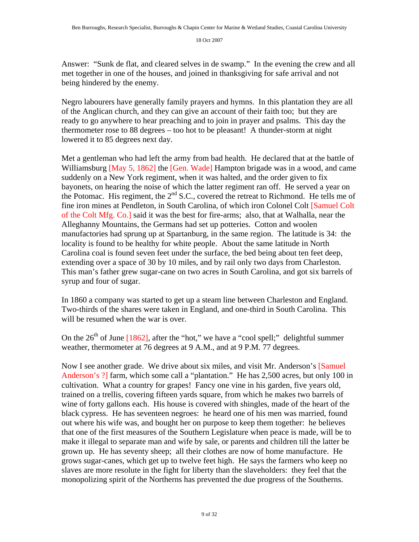Answer: "Sunk de flat, and cleared selves in de swamp." In the evening the crew and all met together in one of the houses, and joined in thanksgiving for safe arrival and not being hindered by the enemy.

Negro labourers have generally family prayers and hymns. In this plantation they are all of the Anglican church, and they can give an account of their faith too; but they are ready to go anywhere to hear preaching and to join in prayer and psalms. This day the thermometer rose to 88 degrees – too hot to be pleasant! A thunder-storm at night lowered it to 85 degrees next day.

Met a gentleman who had left the army from bad health. He declared that at the battle of Williamsburg [May 5, 1862] the [Gen. Wade] Hampton brigade was in a wood, and came suddenly on a New York regiment, when it was halted, and the order given to fix bayonets, on hearing the noise of which the latter regiment ran off. He served a year on the Potomac. His regiment, the  $2<sup>nd</sup>$  S.C., covered the retreat to Richmond. He tells me of fine iron mines at Pendleton, in South Carolina, of which iron Colonel Colt [Samuel Colt of the Colt Mfg. Co.] said it was the best for fire-arms; also, that at Walhalla, near the Alleghanny Mountains, the Germans had set up potteries. Cotton and woolen manufactories had sprung up at Spartanburg, in the same region. The latitude is 34: the locality is found to be healthy for white people. About the same latitude in North Carolina coal is found seven feet under the surface, the bed being about ten feet deep, extending over a space of 30 by 10 miles, and by rail only two days from Charleston. This man's father grew sugar-cane on two acres in South Carolina, and got six barrels of syrup and four of sugar.

In 1860 a company was started to get up a steam line between Charleston and England. Two-thirds of the shares were taken in England, and one-third in South Carolina. This will be resumed when the war is over.

On the  $26<sup>th</sup>$  of June [1862], after the "hot," we have a "cool spell;" delightful summer weather, thermometer at 76 degrees at 9 A.M., and at 9 P.M. 77 degrees.

Now I see another grade. We drive about six miles, and visit Mr. Anderson's [Samuel Anderson's ?] farm, which some call a "plantation." He has 2,500 acres, but only 100 in cultivation. What a country for grapes! Fancy one vine in his garden, five years old, trained on a trellis, covering fifteen yards square, from which he makes two barrels of wine of forty gallons each. His house is covered with shingles, made of the heart of the black cypress. He has seventeen negroes: he heard one of his men was married, found out where his wife was, and bought her on purpose to keep them together: he believes that one of the first measures of the Southern Legislature when peace is made, will be to make it illegal to separate man and wife by sale, or parents and children till the latter be grown up. He has seventy sheep; all their clothes are now of home manufacture. He grows sugar-canes, which get up to twelve feet high. He says the farmers who keep no slaves are more resolute in the fight for liberty than the slaveholders: they feel that the monopolizing spirit of the Northerns has prevented the due progress of the Southerns.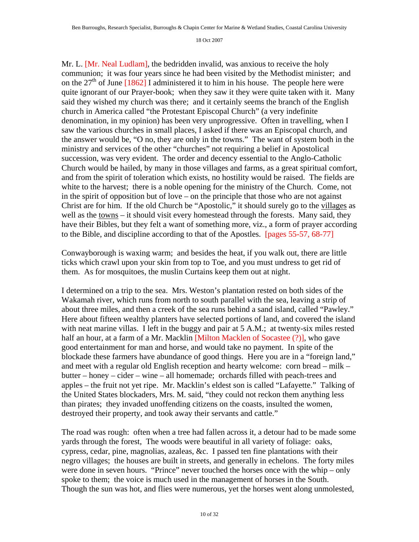Mr. L. [Mr. Neal Ludlam], the bedridden invalid, was anxious to receive the holy communion; it was four years since he had been visited by the Methodist minister; and on the  $27<sup>th</sup>$  of June [1862] I administered it to him in his house. The people here were quite ignorant of our Prayer-book; when they saw it they were quite taken with it. Many said they wished my church was there; and it certainly seems the branch of the English church in America called "the Protestant Episcopal Church" (a very indefinite denomination, in my opinion) has been very unprogressive. Often in travelling, when I saw the various churches in small places, I asked if there was an Episcopal church, and the answer would be, "O no, they are only in the towns." The want of system both in the ministry and services of the other "churches" not requiring a belief in Apostolical succession, was very evident. The order and decency essential to the Anglo-Catholic Church would be hailed, by many in those villages and farms, as a great spiritual comfort, and from the spirit of toleration which exists, no hostility would be raised. The fields are white to the harvest; there is a noble opening for the ministry of the Church. Come, not in the spirit of opposition but of love – on the principle that those who are not against Christ are for him. If the old Church be "Apostolic," it should surely go to the villages as well as the <u>towns</u> – it should visit every homestead through the forests. Many said, they have their Bibles, but they felt a want of something more, viz., a form of prayer according to the Bible, and discipline according to that of the Apostles. [pages 55-57, 68-77]

Conwayborough is waxing warm; and besides the heat, if you walk out, there are little ticks which crawl upon your skin from top to Toe, and you must undress to get rid of them. As for mosquitoes, the muslin Curtains keep them out at night.

I determined on a trip to the sea. Mrs. Weston's plantation rested on both sides of the Wakamah river, which runs from north to south parallel with the sea, leaving a strip of about three miles, and then a creek of the sea runs behind a sand island, called "Pawley." Here about fifteen wealthy planters have selected portions of land, and covered the island with neat marine villas. I left in the buggy and pair at 5 A.M.; at twenty-six miles rested half an hour, at a farm of a Mr. Macklin [Milton Macklen of Socastee (?)], who gave good entertainment for man and horse, and would take no payment. In spite of the blockade these farmers have abundance of good things. Here you are in a "foreign land," and meet with a regular old English reception and hearty welcome: corn bread – milk – butter – honey – cider – wine – all homemade; orchards filled with peach-trees and apples – the fruit not yet ripe. Mr. Macklin's eldest son is called "Lafayette." Talking of the United States blockaders, Mrs. M. said, "they could not reckon them anything less than pirates; they invaded unoffending citizens on the coasts, insulted the women, destroyed their property, and took away their servants and cattle."

The road was rough: often when a tree had fallen across it, a detour had to be made some yards through the forest, The woods were beautiful in all variety of foliage: oaks, cypress, cedar, pine, magnolias, azaleas, &c. I passed ten fine plantations with their negro villages; the houses are built in streets, and generally in echelons. The forty miles were done in seven hours. "Prince" never touched the horses once with the whip – only spoke to them; the voice is much used in the management of horses in the South. Though the sun was hot, and flies were numerous, yet the horses went along unmolested,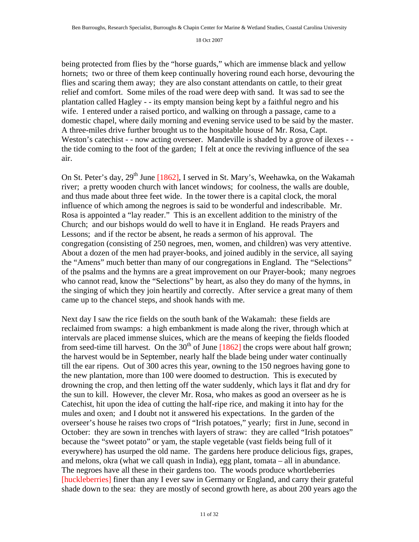being protected from flies by the "horse guards," which are immense black and yellow hornets; two or three of them keep continually hovering round each horse, devouring the flies and scaring them away; they are also constant attendants on cattle, to their great relief and comfort. Some miles of the road were deep with sand. It was sad to see the plantation called Hagley - - its empty mansion being kept by a faithful negro and his wife. I entered under a raised portico, and walking on through a passage, came to a domestic chapel, where daily morning and evening service used to be said by the master. A three-miles drive further brought us to the hospitable house of Mr. Rosa, Capt. Weston's catechist - - now acting overseer. Mandeville is shaded by a grove of ilexes - the tide coming to the foot of the garden; I felt at once the reviving influence of the sea air.

On St. Peter's day,  $29<sup>th</sup>$  June [1862], I served in St. Mary's, Weehawka, on the Wakamah river; a pretty wooden church with lancet windows; for coolness, the walls are double, and thus made about three feet wide. In the tower there is a capital clock, the moral influence of which among the negroes is said to be wonderful and indescribable. Mr. Rosa is appointed a "lay reader." This is an excellent addition to the ministry of the Church; and our bishops would do well to have it in England. He reads Prayers and Lessons; and if the rector be absent, he reads a sermon of his approval. The congregation (consisting of 250 negroes, men, women, and children) was very attentive. About a dozen of the men had prayer-books, and joined audibly in the service, all saying the "Amens" much better than many of our congregations in England. The "Selections" of the psalms and the hymns are a great improvement on our Prayer-book; many negroes who cannot read, know the "Selections" by heart, as also they do many of the hymns, in the singing of which they join heartily and correctly. After service a great many of them came up to the chancel steps, and shook hands with me.

Next day I saw the rice fields on the south bank of the Wakamah: these fields are reclaimed from swamps: a high embankment is made along the river, through which at intervals are placed immense sluices, which are the means of keeping the fields flooded from seed-time till harvest. On the  $30<sup>th</sup>$  of June [1862] the crops were about half grown; the harvest would be in September, nearly half the blade being under water continually till the ear ripens. Out of 300 acres this year, owning to the 150 negroes having gone to the new plantation, more than 100 were doomed to destruction. This is executed by drowning the crop, and then letting off the water suddenly, which lays it flat and dry for the sun to kill. However, the clever Mr. Rosa, who makes as good an overseer as he is Catechist, hit upon the idea of cutting the half-ripe rice, and making it into hay for the mules and oxen; and I doubt not it answered his expectations. In the garden of the overseer's house he raises two crops of "Irish potatoes," yearly; first in June, second in October: they are sown in trenches with layers of straw: they are called "Irish potatoes" because the "sweet potato" or yam, the staple vegetable (vast fields being full of it everywhere) has usurped the old name. The gardens here produce delicious figs, grapes, and melons, okra (what we call quash in India), egg plant, tomata – all in abundance. The negroes have all these in their gardens too. The woods produce whortleberries [huckleberries] finer than any I ever saw in Germany or England, and carry their grateful shade down to the sea: they are mostly of second growth here, as about 200 years ago the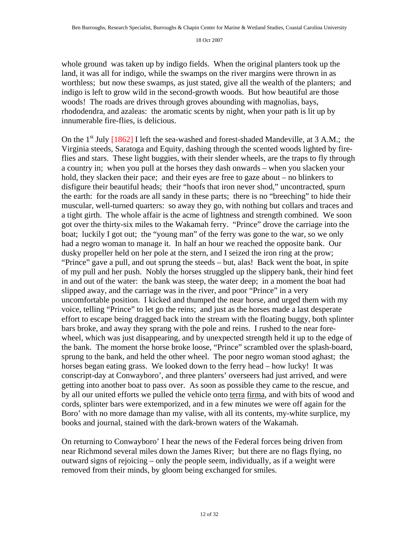whole ground was taken up by indigo fields. When the original planters took up the land, it was all for indigo, while the swamps on the river margins were thrown in as worthless; but now these swamps, as just stated, give all the wealth of the planters; and indigo is left to grow wild in the second-growth woods. But how beautiful are those woods! The roads are drives through groves abounding with magnolias, bays, rhododendra, and azaleas: the aromatic scents by night, when your path is lit up by innumerable fire-flies, is delicious.

On the 1<sup>st</sup> July  $[1862]$  I left the sea-washed and forest-shaded Mandeville, at 3 A.M.; the Virginia steeds, Saratoga and Equity, dashing through the scented woods lighted by fireflies and stars. These light buggies, with their slender wheels, are the traps to fly through a country in; when you pull at the horses they dash onwards – when you slacken your hold, they slacken their pace; and their eyes are free to gaze about – no blinkers to disfigure their beautiful heads; their "hoofs that iron never shod," uncontracted, spurn the earth: for the roads are all sandy in these parts; there is no "breeching" to hide their muscular, well-turned quarters: so away they go, with nothing but collars and traces and a tight girth. The whole affair is the acme of lightness and strength combined. We soon got over the thirty-six miles to the Wakamah ferry. "Prince" drove the carriage into the boat; luckily I got out; the "young man" of the ferry was gone to the war, so we only had a negro woman to manage it. In half an hour we reached the opposite bank. Our dusky propeller held on her pole at the stern, and I seized the iron ring at the prow; "Prince" gave a pull, and out sprung the steeds – but, alas! Back went the boat, in spite of my pull and her push. Nobly the horses struggled up the slippery bank, their hind feet in and out of the water: the bank was steep, the water deep; in a moment the boat had slipped away, and the carriage was in the river, and poor "Prince" in a very uncomfortable position. I kicked and thumped the near horse, and urged them with my voice, telling "Prince" to let go the reins; and just as the horses made a last desperate effort to escape being dragged back into the stream with the floating buggy, both splinter bars broke, and away they sprang with the pole and reins. I rushed to the near forewheel, which was just disappearing, and by unexpected strength held it up to the edge of the bank. The moment the horse broke loose, "Prince" scrambled over the splash-board, sprung to the bank, and held the other wheel. The poor negro woman stood aghast; the horses began eating grass. We looked down to the ferry head – how lucky! It was conscript-day at Conwayboro', and three planters' overseers had just arrived, and were getting into another boat to pass over. As soon as possible they came to the rescue, and by all our united efforts we pulled the vehicle onto terra firma, and with bits of wood and cords, splinter bars were extemporized, and in a few minutes we were off again for the Boro' with no more damage than my valise, with all its contents, my-white surplice, my books and journal, stained with the dark-brown waters of the Wakamah.

On returning to Conwayboro' I hear the news of the Federal forces being driven from near Richmond several miles down the James River; but there are no flags flying, no outward signs of rejoicing – only the people seem, individually, as if a weight were removed from their minds, by gloom being exchanged for smiles.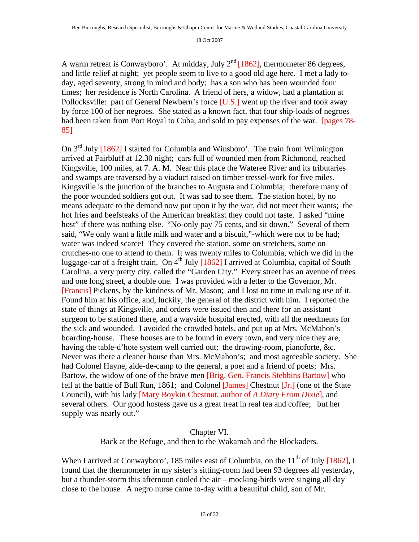A warm retreat is Conwayboro'. At midday, July  $2<sup>nd</sup>$  [1862], thermometer 86 degrees, and little relief at night; yet people seem to live to a good old age here. I met a lady today, aged seventy, strong in mind and body; has a son who has been wounded four times; her residence is North Carolina. A friend of hers, a widow, had a plantation at Pollocksville: part of General Newbern's force [U.S.] went up the river and took away by force 100 of her negroes. She stated as a known fact, that four ship-loads of negroes had been taken from Port Royal to Cuba, and sold to pay expenses of the war. [pages 78-85]

On  $3<sup>rd</sup>$  July [1862] I started for Columbia and Winsboro'. The train from Wilmington arrived at Fairbluff at 12.30 night; cars full of wounded men from Richmond, reached Kingsville, 100 miles, at 7. A. M. Near this place the Wateree River and its tributaries and swamps are traversed by a viaduct raised on timber tressel-work for five miles. Kingsville is the junction of the branches to Augusta and Columbia; therefore many of the poor wounded soldiers got out. It was sad to see them. The station hotel, by no means adequate to the demand now put upon it by the war, did not meet their wants; the hot fries and beefsteaks of the American breakfast they could not taste. I asked "mine host" if there was nothing else. "No-only pay 75 cents, and sit down." Several of them said, "We only want a little milk and water and a biscuit,"-which were not to be had; water was indeed scarce! They covered the station, some on stretchers, some on crutches-no one to attend to them. It was twenty miles to Columbia, which we did in the luggage-car of a freight train. On  $4<sup>th</sup>$  July [1862] I arrived at Columbia, capital of South Carolina, a very pretty city, called the "Garden City." Every street has an avenue of trees and one long street, a double one. I was provided with a letter to the Governor, Mr. [Francis] Pickens, by the kindness of Mr. Mason; and I lost no time in making use of it. Found him at his office, and, luckily, the general of the district with him. I reported the state of things at Kingsville, and orders were issued then and there for an assistant surgeon to be stationed there, and a wayside hospital erected, with all the needments for the sick and wounded. I avoided the crowded hotels, and put up at Mrs. McMahon's boarding-house. These houses are to be found in every town, and very nice they are, having the table-d'hote system well carried out; the drawing-room, pianoforte, &c. Never was there a cleaner house than Mrs. McMahon's; and most agreeable society. She had Colonel Hayne, aide-de-camp to the general, a poet and a friend of poets; Mrs. Bartow, the widow of one of the brave men [Brig. Gen. Francis Stebbins Bartow] who fell at the battle of Bull Run, 1861; and Colonel *[James]* Chestnut *[Jr.]* (one of the State Council), with his lady [Mary Boykin Chestnut, author of *A Diary From Dixie*], and several others. Our good hostess gave us a great treat in real tea and coffee; but her supply was nearly out."

# Chapter VI.

Back at the Refuge, and then to the Wakamah and the Blockaders.

When I arrived at Conwayboro', 185 miles east of Columbia, on the  $11<sup>th</sup>$  of July [1862], I found that the thermometer in my sister's sitting-room had been 93 degrees all yesterday, but a thunder-storm this afternoon cooled the air – mocking-birds were singing all day close to the house. A negro nurse came to-day with a beautiful child, son of Mr.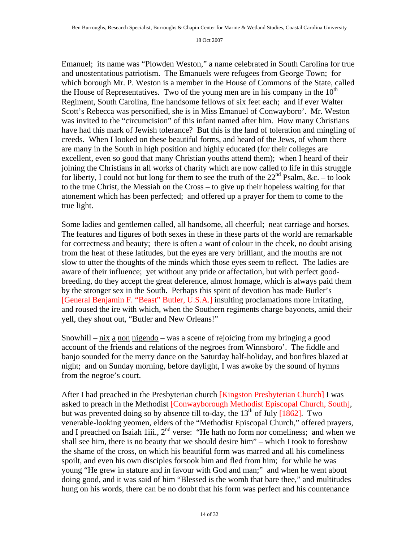Emanuel; its name was "Plowden Weston," a name celebrated in South Carolina for true and unostentatious patriotism. The Emanuels were refugees from George Town; for which borough Mr. P. Weston is a member in the House of Commons of the State, called the House of Representatives. Two of the young men are in his company in the  $10<sup>th</sup>$ Regiment, South Carolina, fine handsome fellows of six feet each; and if ever Walter Scott's Rebecca was personified, she is in Miss Emanuel of Conwayboro'. Mr. Weston was invited to the "circumcision" of this infant named after him. How many Christians have had this mark of Jewish tolerance? But this is the land of toleration and mingling of creeds. When I looked on these beautiful forms, and heard of the Jews, of whom there are many in the South in high position and highly educated (for their colleges are excellent, even so good that many Christian youths attend them); when I heard of their joining the Christians in all works of charity which are now called to life in this struggle for liberty, I could not but long for them to see the truth of the  $22<sup>nd</sup>$  Psalm, &c. – to look to the true Christ, the Messiah on the Cross – to give up their hopeless waiting for that atonement which has been perfected; and offered up a prayer for them to come to the true light.

Some ladies and gentlemen called, all handsome, all cheerful; neat carriage and horses. The features and figures of both sexes in these in these parts of the world are remarkable for correctness and beauty; there is often a want of colour in the cheek, no doubt arising from the heat of these latitudes, but the eyes are very brilliant, and the mouths are not slow to utter the thoughts of the minds which those eyes seem to reflect. The ladies are aware of their influence; yet without any pride or affectation, but with perfect goodbreeding, do they accept the great deference, almost homage, which is always paid them by the stronger sex in the South. Perhaps this spirit of devotion has made Butler's [General Benjamin F. "Beast" Butler, U.S.A.] insulting proclamations more irritating, and roused the ire with which, when the Southern regiments charge bayonets, amid their yell, they shout out, "Butler and New Orleans!"

Snowhill – nix a non nigendo – was a scene of rejoicing from my bringing a good account of the friends and relations of the negroes from Winnsboro'. The fiddle and banjo sounded for the merry dance on the Saturday half-holiday, and bonfires blazed at night; and on Sunday morning, before daylight, I was awoke by the sound of hymns from the negroe's court.

After I had preached in the Presbyterian church [Kingston Presbyterian Church] I was asked to preach in the Methodist [Conwayborough Methodist Episcopal Church, South], but was prevented doing so by absence till to-day, the  $13<sup>th</sup>$  of July  $[1862]$ . Two venerable-looking yeomen, elders of the "Methodist Episcopal Church," offered prayers, and I preached on Isaiah 1iii.,  $2<sup>nd</sup>$  verse: "He hath no form nor comeliness; and when we shall see him, there is no beauty that we should desire him" – which I took to foreshow the shame of the cross, on which his beautiful form was marred and all his comeliness spoilt, and even his own disciples forsook him and fled from him; for while he was young "He grew in stature and in favour with God and man;" and when he went about doing good, and it was said of him "Blessed is the womb that bare thee," and multitudes hung on his words, there can be no doubt that his form was perfect and his countenance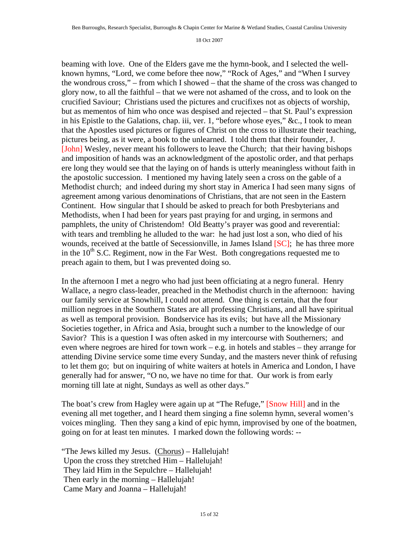beaming with love. One of the Elders gave me the hymn-book, and I selected the wellknown hymns, "Lord, we come before thee now," "Rock of Ages," and "When I survey the wondrous cross," – from which I showed – that the shame of the cross was changed to glory now, to all the faithful – that we were not ashamed of the cross, and to look on the crucified Saviour; Christians used the pictures and crucifixes not as objects of worship, but as mementos of him who once was despised and rejected – that St. Paul's expression in his Epistle to the Galations, chap. iii, ver. 1, "before whose eyes," &c., I took to mean that the Apostles used pictures or figures of Christ on the cross to illustrate their teaching, pictures being, as it were, a book to the unlearned. I told them that their founder, J. [John] Wesley, never meant his followers to leave the Church; that their having bishops and imposition of hands was an acknowledgment of the apostolic order, and that perhaps ere long they would see that the laying on of hands is utterly meaningless without faith in the apostolic succession. I mentioned my having lately seen a cross on the gable of a Methodist church; and indeed during my short stay in America I had seen many signs of agreement among various denominations of Christians, that are not seen in the Eastern Continent. How singular that I should be asked to preach for both Presbyterians and Methodists, when I had been for years past praying for and urging, in sermons and pamphlets, the unity of Christendom! Old Beatty's prayer was good and reverential: with tears and trembling he alluded to the war: he had just lost a son, who died of his wounds, received at the battle of Secessionville, in James Island [SC]; he has three more in the  $10^{th}$  S.C. Regiment, now in the Far West. Both congregations requested me to preach again to them, but I was prevented doing so.

In the afternoon I met a negro who had just been officiating at a negro funeral. Henry Wallace, a negro class-leader, preached in the Methodist church in the afternoon: having our family service at Snowhill, I could not attend. One thing is certain, that the four million negroes in the Southern States are all professing Christians, and all have spiritual as well as temporal provision. Bondservice has its evils; but have all the Missionary Societies together, in Africa and Asia, brought such a number to the knowledge of our Savior? This is a question I was often asked in my intercourse with Southerners; and even where negroes are hired for town work – e.g. in hotels and stables – they arrange for attending Divine service some time every Sunday, and the masters never think of refusing to let them go; but on inquiring of white waiters at hotels in America and London, I have generally had for answer, "O no, we have no time for that. Our work is from early morning till late at night, Sundays as well as other days."

The boat's crew from Hagley were again up at "The Refuge," [Snow Hill] and in the evening all met together, and I heard them singing a fine solemn hymn, several women's voices mingling. Then they sang a kind of epic hymn, improvised by one of the boatmen, going on for at least ten minutes. I marked down the following words: --

"The Jews killed my Jesus. (Chorus) – Hallelujah! Upon the cross they stretched Him – Hallelujah! They laid Him in the Sepulchre – Hallelujah! Then early in the morning – Hallelujah! Came Mary and Joanna – Hallelujah!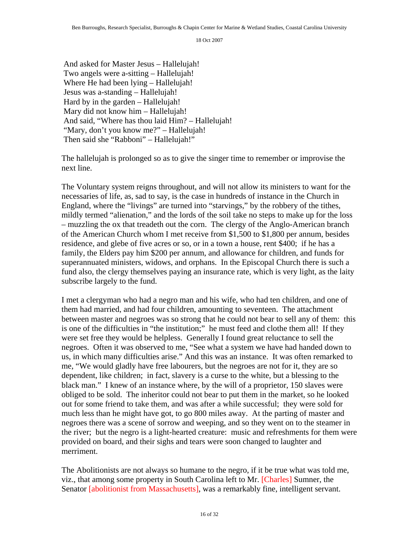And asked for Master Jesus – Hallelujah! Two angels were a-sitting – Hallelujah! Where He had been lying – Hallelujah! Jesus was a-standing – Hallelujah! Hard by in the garden – Hallelujah! Mary did not know him – Hallelujah! And said, "Where has thou laid Him? – Hallelujah! "Mary, don't you know me?" – Hallelujah! Then said she "Rabboni" – Hallelujah!"

The hallelujah is prolonged so as to give the singer time to remember or improvise the next line.

The Voluntary system reigns throughout, and will not allow its ministers to want for the necessaries of life, as, sad to say, is the case in hundreds of instance in the Church in England, where the "livings" are turned into "starvings," by the robbery of the tithes, mildly termed "alienation," and the lords of the soil take no steps to make up for the loss – muzzling the ox that treadeth out the corn. The clergy of the Anglo-American branch of the American Church whom I met receive from \$1,500 to \$1,800 per annum, besides residence, and glebe of five acres or so, or in a town a house, rent \$400; if he has a family, the Elders pay him \$200 per annum, and allowance for children, and funds for superannuated ministers, widows, and orphans. In the Episcopal Church there is such a fund also, the clergy themselves paying an insurance rate, which is very light, as the laity subscribe largely to the fund.

I met a clergyman who had a negro man and his wife, who had ten children, and one of them had married, and had four children, amounting to seventeen. The attachment between master and negroes was so strong that he could not bear to sell any of them: this is one of the difficulties in "the institution;" he must feed and clothe them all! If they were set free they would be helpless. Generally I found great reluctance to sell the negroes. Often it was observed to me, "See what a system we have had handed down to us, in which many difficulties arise." And this was an instance. It was often remarked to me, "We would gladly have free labourers, but the negroes are not for it, they are so dependent, like children; in fact, slavery is a curse to the white, but a blessing to the black man." I knew of an instance where, by the will of a proprietor, 150 slaves were obliged to be sold. The inheritor could not bear to put them in the market, so he looked out for some friend to take them, and was after a while successful; they were sold for much less than he might have got, to go 800 miles away. At the parting of master and negroes there was a scene of sorrow and weeping, and so they went on to the steamer in the river; but the negro is a light-hearted creature: music and refreshments for them were provided on board, and their sighs and tears were soon changed to laughter and merriment.

The Abolitionists are not always so humane to the negro, if it be true what was told me, viz., that among some property in South Carolina left to Mr. [Charles] Sumner, the Senator [abolitionist from Massachusetts], was a remarkably fine, intelligent servant.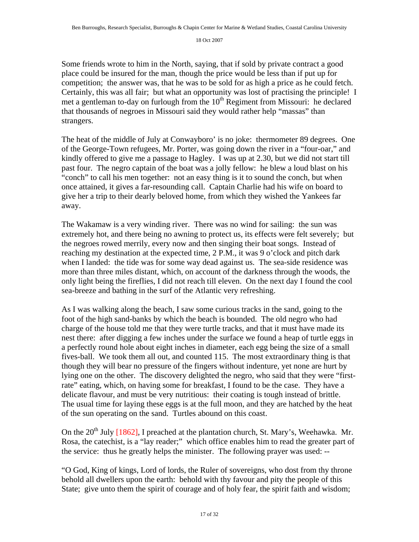Some friends wrote to him in the North, saying, that if sold by private contract a good place could be insured for the man, though the price would be less than if put up for competition; the answer was, that he was to be sold for as high a price as he could fetch. Certainly, this was all fair; but what an opportunity was lost of practising the principle! I met a gentleman to-day on furlough from the  $10<sup>th</sup>$  Regiment from Missouri: he declared that thousands of negroes in Missouri said they would rather help "massas" than strangers.

The heat of the middle of July at Conwayboro' is no joke: thermometer 89 degrees. One of the George-Town refugees, Mr. Porter, was going down the river in a "four-oar," and kindly offered to give me a passage to Hagley. I was up at 2.30, but we did not start till past four. The negro captain of the boat was a jolly fellow: he blew a loud blast on his "conch" to call his men together: not an easy thing is it to sound the conch, but when once attained, it gives a far-resounding call. Captain Charlie had his wife on board to give her a trip to their dearly beloved home, from which they wished the Yankees far away.

The Wakamaw is a very winding river. There was no wind for sailing: the sun was extremely hot, and there being no awning to protect us, its effects were felt severely; but the negroes rowed merrily, every now and then singing their boat songs. Instead of reaching my destination at the expected time, 2 P.M., it was 9 o'clock and pitch dark when I landed: the tide was for some way dead against us. The sea-side residence was more than three miles distant, which, on account of the darkness through the woods, the only light being the fireflies, I did not reach till eleven. On the next day I found the cool sea-breeze and bathing in the surf of the Atlantic very refreshing.

As I was walking along the beach, I saw some curious tracks in the sand, going to the foot of the high sand-banks by which the beach is bounded. The old negro who had charge of the house told me that they were turtle tracks, and that it must have made its nest there: after digging a few inches under the surface we found a heap of turtle eggs in a perfectly round hole about eight inches in diameter, each egg being the size of a small fives-ball. We took them all out, and counted 115. The most extraordinary thing is that though they will bear no pressure of the fingers without indenture, yet none are hurt by lying one on the other. The discovery delighted the negro, who said that they were "firstrate" eating, which, on having some for breakfast, I found to be the case. They have a delicate flavour, and must be very nutritious: their coating is tough instead of brittle. The usual time for laying these eggs is at the full moon, and they are hatched by the heat of the sun operating on the sand. Turtles abound on this coast.

On the  $20^{th}$  July [1862], I preached at the plantation church, St. Mary's, Weehawka. Mr. Rosa, the catechist, is a "lay reader;" which office enables him to read the greater part of the service: thus he greatly helps the minister. The following prayer was used: --

"O God, King of kings, Lord of lords, the Ruler of sovereigns, who dost from thy throne behold all dwellers upon the earth: behold with thy favour and pity the people of this State; give unto them the spirit of courage and of holy fear, the spirit faith and wisdom;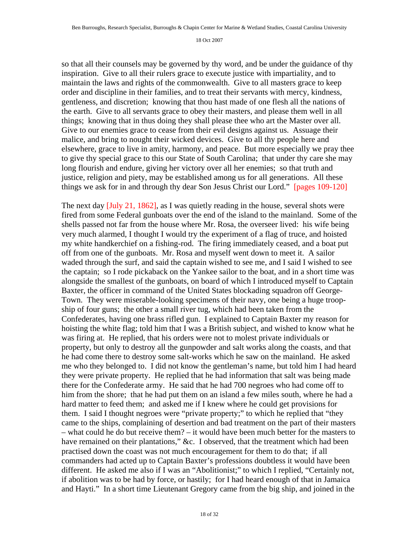so that all their counsels may be governed by thy word, and be under the guidance of thy inspiration. Give to all their rulers grace to execute justice with impartiality, and to maintain the laws and rights of the commonwealth. Give to all masters grace to keep order and discipline in their families, and to treat their servants with mercy, kindness, gentleness, and discretion; knowing that thou hast made of one flesh all the nations of the earth. Give to all servants grace to obey their masters, and please them well in all things; knowing that in thus doing they shall please thee who art the Master over all. Give to our enemies grace to cease from their evil designs against us. Assuage their malice, and bring to nought their wicked devices. Give to all thy people here and elsewhere, grace to live in amity, harmony, and peace. But more especially we pray thee to give thy special grace to this our State of South Carolina; that under thy care she may long flourish and endure, giving her victory over all her enemies; so that truth and justice, religion and piety, may be established among us for all generations. All these things we ask for in and through thy dear Son Jesus Christ our Lord." [pages 109-120]

The next day  $\overline{July}$  21, 1862], as I was quietly reading in the house, several shots were fired from some Federal gunboats over the end of the island to the mainland. Some of the shells passed not far from the house where Mr. Rosa, the overseer lived: his wife being very much alarmed, I thought I would try the experiment of a flag of truce, and hoisted my white handkerchief on a fishing-rod. The firing immediately ceased, and a boat put off from one of the gunboats. Mr. Rosa and myself went down to meet it. A sailor waded through the surf, and said the captain wished to see me, and I said I wished to see the captain; so I rode pickaback on the Yankee sailor to the boat, and in a short time was alongside the smallest of the gunboats, on board of which I introduced myself to Captain Baxter, the officer in command of the United States blockading squadron off George-Town. They were miserable-looking specimens of their navy, one being a huge troopship of four guns; the other a small river tug, which had been taken from the Confederates, having one brass rifled gun. I explained to Captain Baxter my reason for hoisting the white flag; told him that I was a British subject, and wished to know what he was firing at. He replied, that his orders were not to molest private individuals or property, but only to destroy all the gunpowder and salt works along the coasts, and that he had come there to destroy some salt-works which he saw on the mainland. He asked me who they belonged to. I did not know the gentleman's name, but told him I had heard they were private property. He replied that he had information that salt was being made there for the Confederate army. He said that he had 700 negroes who had come off to him from the shore; that he had put them on an island a few miles south, where he had a hard matter to feed them; and asked me if I knew where he could get provisions for them. I said I thought negroes were "private property;" to which he replied that "they came to the ships, complaining of desertion and bad treatment on the part of their masters – what could he do but receive them? – it would have been much better for the masters to have remained on their plantations," &c. I observed, that the treatment which had been practised down the coast was not much encouragement for them to do that; if all commanders had acted up to Captain Baxter's professions doubtless it would have been different. He asked me also if I was an "Abolitionist;" to which I replied, "Certainly not, if abolition was to be had by force, or hastily; for I had heard enough of that in Jamaica and Hayti." In a short time Lieutenant Gregory came from the big ship, and joined in the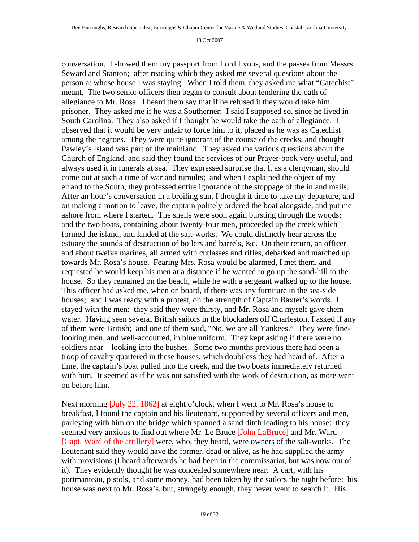conversation. I showed them my passport from Lord Lyons, and the passes from Messrs. Seward and Stanton; after reading which they asked me several questions about the person at whose house I was staying. When I told them, they asked me what "Catechist" meant. The two senior officers then began to consult about tendering the oath of allegiance to Mr. Rosa. I heard them say that if he refused it they would take him prisoner. They asked me if he was a Southerner; I said I supposed so, since he lived in South Carolina. They also asked if I thought he would take the oath of allegiance. I observed that it would be very unfair to force him to it, placed as he was as Catechist among the negroes. They were quite ignorant of the course of the creeks, and thought Pawley's Island was part of the mainland. They asked me various questions about the Church of England, and said they found the services of our Prayer-book very useful, and always used it in funerals at sea. They expressed surprise that I, as a clergyman, should come out at such a time of war and tumults; and when I explained the object of my errand to the South, they professed entire ignorance of the stoppage of the inland mails. After an hour's conversation in a broiling sun, I thought it time to take my departure, and on making a motion to leave, the captain politely ordered the boat alongside, and put me ashore from where I started. The shells were soon again bursting through the woods; and the two boats, containing about twenty-four men, proceeded up the creek which formed the island, and landed at the salt-works. We could distinctly hear across the estuary the sounds of destruction of boilers and barrels, &c. On their return, an officer and about twelve marines, all armed with cutlasses and rifles, debarked and marched up towards Mr. Rosa's house. Fearing Mrs. Rosa would be alarmed, I met them, and requested he would keep his men at a distance if he wanted to go up the sand-hill to the house. So they remained on the beach, while he with a sergeant walked up to the house. This officer had asked me, when on board, if there was any furniture in the sea-side houses; and I was ready with a protest, on the strength of Captain Baxter's words. I stayed with the men: they said they were thirsty, and Mr. Rosa and myself gave them water. Having seen several British sailors in the blockaders off Charleston, I asked if any of them were British; and one of them said, "No, we are all Yankees." They were finelooking men, and well-accoutred, in blue uniform. They kept asking if there were no soldiers near – looking into the bushes. Some two months previous there had been a troop of cavalry quartered in these houses, which doubtless they had heard of. After a time, the captain's boat pulled into the creek, and the two boats immediately returned with him. It seemed as if he was not satisfied with the work of destruction, as more went on before him.

Next morning [July 22, 1862] at eight o'clock, when I went to Mr. Rosa's house to breakfast, I found the captain and his lieutenant, supported by several officers and men, parleying with him on the bridge which spanned a sand ditch leading to his house: they seemed very anxious to find out where Mr. Le Bruce [John LaBruce] and Mr. Ward [Capt. Ward of the artillery] were, who, they heard, were owners of the salt-works. The lieutenant said they would have the former, dead or alive, as he had supplied the army with provisions (I heard afterwards he had been in the commissariat, but was now out of it). They evidently thought he was concealed somewhere near. A cart, with his portmanteau, pistols, and some money, had been taken by the sailors the night before: his house was next to Mr. Rosa's, but, strangely enough, they never went to search it. His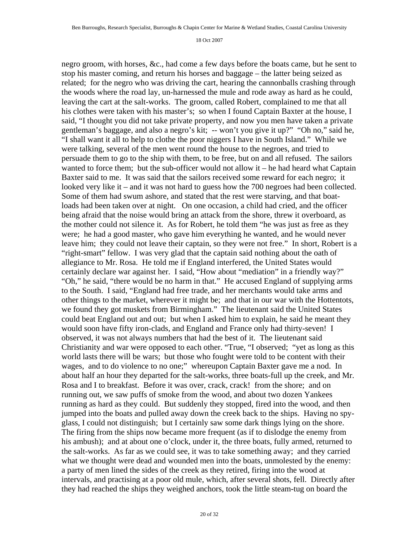negro groom, with horses, &c., had come a few days before the boats came, but he sent to stop his master coming, and return his horses and baggage – the latter being seized as related; for the negro who was driving the cart, hearing the cannonballs crashing through the woods where the road lay, un-harnessed the mule and rode away as hard as he could, leaving the cart at the salt-works. The groom, called Robert, complained to me that all his clothes were taken with his master's; so when I found Captain Baxter at the house, I said, "I thought you did not take private property, and now you men have taken a private gentleman's baggage, and also a negro's kit; -- won't you give it up?" "Oh no," said he, "I shall want it all to help to clothe the poor niggers I have in South Island." While we were talking, several of the men went round the house to the negroes, and tried to persuade them to go to the ship with them, to be free, but on and all refused. The sailors wanted to force them; but the sub-officer would not allow it – he had heard what Captain Baxter said to me. It was said that the sailors received some reward for each negro; it looked very like it – and it was not hard to guess how the 700 negroes had been collected. Some of them had swum ashore, and stated that the rest were starving, and that boatloads had been taken over at night. On one occasion, a child had cried, and the officer being afraid that the noise would bring an attack from the shore, threw it overboard, as the mother could not silence it. As for Robert, he told them "he was just as free as they were; he had a good master, who gave him everything he wanted, and he would never leave him; they could not leave their captain, so they were not free." In short, Robert is a "right-smart" fellow. I was very glad that the captain said nothing about the oath of allegiance to Mr. Rosa. He told me if England interfered, the United States would certainly declare war against her. I said, "How about "mediation" in a friendly way?" "Oh," he said, "there would be no harm in that." He accused England of supplying arms to the South. I said, "England had free trade, and her merchants would take arms and other things to the market, wherever it might be; and that in our war with the Hottentots, we found they got muskets from Birmingham." The lieutenant said the United States could beat England out and out; but when I asked him to explain, he said he meant they would soon have fifty iron-clads, and England and France only had thirty-seven! I observed, it was not always numbers that had the best of it. The lieutenant said Christianity and war were opposed to each other. "True, "I observed; "yet as long as this world lasts there will be wars; but those who fought were told to be content with their wages, and to do violence to no one;" whereupon Captain Baxter gave me a nod. In about half an hour they departed for the salt-works, three boats-full up the creek, and Mr. Rosa and I to breakfast. Before it was over, crack, crack! from the shore; and on running out, we saw puffs of smoke from the wood, and about two dozen Yankees running as hard as they could. But suddenly they stopped, fired into the wood, and then jumped into the boats and pulled away down the creek back to the ships. Having no spyglass, I could not distinguish; but I certainly saw some dark things lying on the shore. The firing from the ships now became more frequent (as if to dislodge the enemy from his ambush); and at about one o'clock, under it, the three boats, fully armed, returned to the salt-works. As far as we could see, it was to take something away; and they carried what we thought were dead and wounded men into the boats, unmolested by the enemy: a party of men lined the sides of the creek as they retired, firing into the wood at intervals, and practising at a poor old mule, which, after several shots, fell. Directly after they had reached the ships they weighed anchors, took the little steam-tug on board the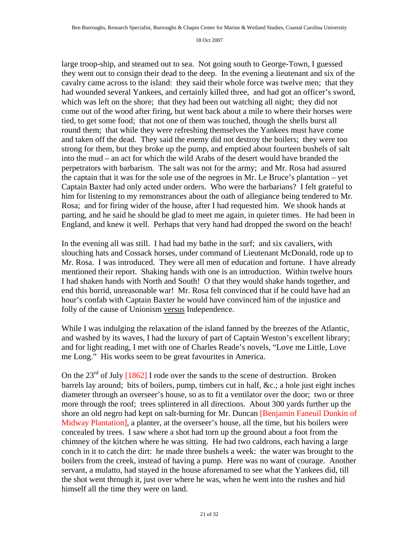large troop-ship, and steamed out to sea. Not going south to George-Town, I guessed they went out to consign their dead to the deep. In the evening a lieutenant and six of the cavalry came across to the island: they said their whole force was twelve men; that they had wounded several Yankees, and certainly killed three, and had got an officer's sword, which was left on the shore; that they had been out watching all night; they did not come out of the wood after firing, but went back about a mile to where their horses were tied, to get some food; that not one of them was touched, though the shells burst all round them; that while they were refreshing themselves the Yankees must have come and taken off the dead. They said the enemy did not destroy the boilers; they were too strong for them, but they broke up the pump, and emptied about fourteen bushels of salt into the mud – an act for which the wild Arabs of the desert would have branded the perpetrators with barbarism. The salt was not for the army; and Mr. Rosa had assured the captain that it was for the sole use of the negroes in Mr. Le Bruce's plantation – yet Captain Baxter had only acted under orders. Who were the barbarians? I felt grateful to him for listening to my remonstrances about the oath of allegiance being tendered to Mr. Rosa; and for firing wider of the house, after I had requested him. We shook hands at parting, and he said he should be glad to meet me again, in quieter times. He had been in England, and knew it well. Perhaps that very hand had dropped the sword on the beach!

In the evening all was still. I had had my bathe in the surf; and six cavaliers, with slouching hats and Cossack horses, under command of Lieutenant McDonald, rode up to Mr. Rosa. I was introduced. They were all men of education and fortune. I have already mentioned their report. Shaking hands with one is an introduction. Within twelve hours I had shaken hands with North and South! O that they would shake hands together, and end this horrid, unreasonable war! Mr. Rosa felt convinced that if he could have had an hour's confab with Captain Baxter he would have convinced him of the injustice and folly of the cause of Unionism versus Independence.

While I was indulging the relaxation of the island fanned by the breezes of the Atlantic, and washed by its waves, I had the luxury of part of Captain Weston's excellent library; and for light reading, I met with one of Charles Reade's novels, "Love me Little, Love me Long." His works seem to be great favourites in America.

On the  $23^{\text{rd}}$  of July [1862] I rode over the sands to the scene of destruction. Broken barrels lay around; bits of boilers, pump, timbers cut in half, &c.; a hole just eight inches diameter through an overseer's house, so as to fit a ventilator over the door; two or three more through the roof; trees splintered in all directions. About 300 yards further up the shore an old negro had kept on salt-burning for Mr. Duncan [Benjamin Faneuil Dunkin of Midway Plantation], a planter, at the overseer's house, all the time, but his boilers were concealed by trees. I saw where a shot had torn up the ground about a foot from the chimney of the kitchen where he was sitting. He had two caldrons, each having a large conch in it to catch the dirt: he made three bushels a week: the water was brought to the boilers from the creek, instead of having a pump. Here was no want of courage. Another servant, a mulatto, had stayed in the house aforenamed to see what the Yankees did, till the shot went through it, just over where he was, when he went into the rushes and hid himself all the time they were on land.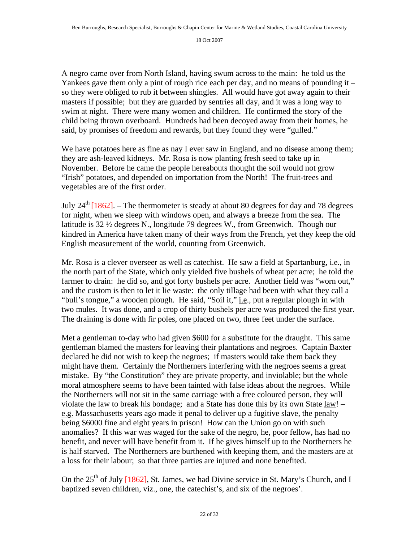A negro came over from North Island, having swum across to the main: he told us the Yankees gave them only a pint of rough rice each per day, and no means of pounding it  $$ so they were obliged to rub it between shingles. All would have got away again to their masters if possible; but they are guarded by sentries all day, and it was a long way to swim at night. There were many women and children. He confirmed the story of the child being thrown overboard. Hundreds had been decoyed away from their homes, he said, by promises of freedom and rewards, but they found they were "gulled."

We have potatoes here as fine as nay I ever saw in England, and no disease among them; they are ash-leaved kidneys. Mr. Rosa is now planting fresh seed to take up in November. Before he came the people hereabouts thought the soil would not grow "Irish" potatoes, and depended on importation from the North! The fruit-trees and vegetables are of the first order.

July  $24<sup>th</sup>$  [1862]. – The thermometer is steady at about 80 degrees for day and 78 degrees for night, when we sleep with windows open, and always a breeze from the sea. The latitude is 32 ½ degrees N., longitude 79 degrees W., from Greenwich. Though our kindred in America have taken many of their ways from the French, yet they keep the old English measurement of the world, counting from Greenwich.

Mr. Rosa is a clever overseer as well as catechist. He saw a field at Spartanburg, i.e., in the north part of the State, which only yielded five bushels of wheat per acre; he told the farmer to drain: he did so, and got forty bushels per acre. Another field was "worn out," and the custom is then to let it lie waste: the only tillage had been with what they call a "bull's tongue," a wooden plough. He said, "Soil it," *i.e.*, put a regular plough in with two mules. It was done, and a crop of thirty bushels per acre was produced the first year. The draining is done with fir poles, one placed on two, three feet under the surface.

Met a gentleman to-day who had given \$600 for a substitute for the draught. This same gentleman blamed the masters for leaving their plantations and negroes. Captain Baxter declared he did not wish to keep the negroes; if masters would take them back they might have them. Certainly the Northerners interfering with the negroes seems a great mistake. By "the Constitution" they are private property, and inviolable; but the whole moral atmosphere seems to have been tainted with false ideas about the negroes. While the Northerners will not sit in the same carriage with a free coloured person, they will violate the law to break his bondage; and a State has done this by its own State law! – e.g. Massachusetts years ago made it penal to deliver up a fugitive slave, the penalty being \$6000 fine and eight years in prison! How can the Union go on with such anomalies? If this war was waged for the sake of the negro, he, poor fellow, has had no benefit, and never will have benefit from it. If he gives himself up to the Northerners he is half starved. The Northerners are burthened with keeping them, and the masters are at a loss for their labour; so that three parties are injured and none benefited.

On the 25<sup>th</sup> of July [1862], St. James, we had Divine service in St. Mary's Church, and I baptized seven children, viz., one, the catechist's, and six of the negroes'.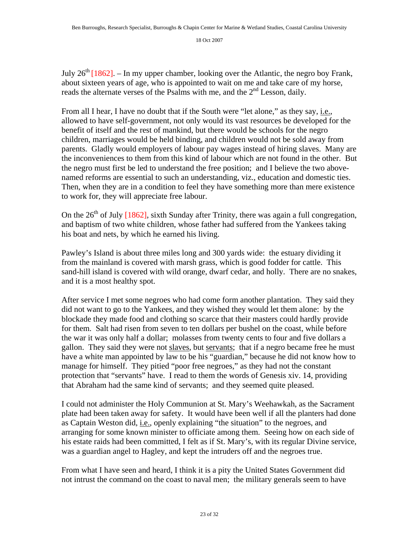July  $26<sup>th</sup>$  [1862]. – In my upper chamber, looking over the Atlantic, the negro boy Frank, about sixteen years of age, who is appointed to wait on me and take care of my horse, reads the alternate verses of the Psalms with me, and the 2<sup>nd</sup> Lesson, daily.

From all I hear, I have no doubt that if the South were "let alone," as they say, i.e., allowed to have self-government, not only would its vast resources be developed for the benefit of itself and the rest of mankind, but there would be schools for the negro children, marriages would be held binding, and children would not be sold away from parents. Gladly would employers of labour pay wages instead of hiring slaves. Many are the inconveniences to them from this kind of labour which are not found in the other. But the negro must first be led to understand the free position; and I believe the two abovenamed reforms are essential to such an understanding, viz., education and domestic ties. Then, when they are in a condition to feel they have something more than mere existence to work for, they will appreciate free labour.

On the  $26<sup>th</sup>$  of July [1862], sixth Sunday after Trinity, there was again a full congregation, and baptism of two white children, whose father had suffered from the Yankees taking his boat and nets, by which he earned his living.

Pawley's Island is about three miles long and 300 yards wide: the estuary dividing it from the mainland is covered with marsh grass, which is good fodder for cattle. This sand-hill island is covered with wild orange, dwarf cedar, and holly. There are no snakes, and it is a most healthy spot.

After service I met some negroes who had come form another plantation. They said they did not want to go to the Yankees, and they wished they would let them alone: by the blockade they made food and clothing so scarce that their masters could hardly provide for them. Salt had risen from seven to ten dollars per bushel on the coast, while before the war it was only half a dollar; molasses from twenty cents to four and five dollars a gallon. They said they were not slaves, but servants; that if a negro became free he must have a white man appointed by law to be his "guardian," because he did not know how to manage for himself. They pitied "poor free negroes," as they had not the constant protection that "servants" have. I read to them the words of Genesis xiv. 14, providing that Abraham had the same kind of servants; and they seemed quite pleased.

I could not administer the Holy Communion at St. Mary's Weehawkah, as the Sacrament plate had been taken away for safety. It would have been well if all the planters had done as Captain Weston did, i.e., openly explaining "the situation" to the negroes, and arranging for some known minister to officiate among them. Seeing how on each side of his estate raids had been committed, I felt as if St. Mary's, with its regular Divine service, was a guardian angel to Hagley, and kept the intruders off and the negroes true.

From what I have seen and heard, I think it is a pity the United States Government did not intrust the command on the coast to naval men; the military generals seem to have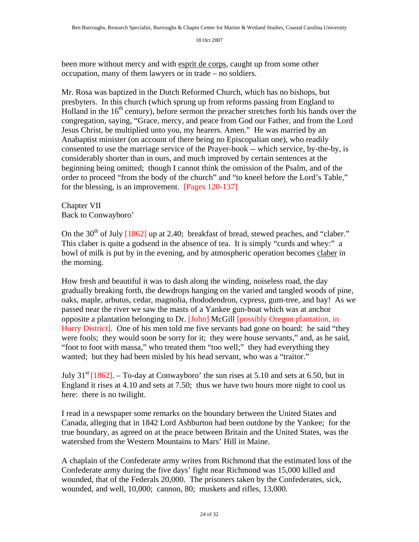been more without mercy and with esprit de corps, caught up from some other occupation, many of them lawyers or in trade – no soldiers.

Mr. Rosa was baptized in the Dutch Reformed Church, which has no bishops, but presbyters. In this church (which sprung up from reforms passing from England to Holland in the  $16<sup>th</sup>$  century), before sermon the preacher stretches forth his hands over the congregation, saying, "Grace, mercy, and peace from God our Father, and from the Lord Jesus Christ, be multiplied unto you, my hearers. Amen." He was married by an Anabaptist minister (on account of there being no Episcopalian one), who readily consented to use the marriage service of the Prayer-book -- which service, by-the-by, is considerably shorter than in ours, and much improved by certain sentences at the beginning being omitted; though I cannot think the omission of the Psalm, and of the order to proceed "from the body of the church" and "to kneel before the Lord's Table," for the blessing, is an improvement. [Pages 120-137]

Chapter VII Back to Conwayboro'

On the  $30<sup>th</sup>$  of July [1862] up at 2.40; breakfast of bread, stewed peaches, and "claber." This claber is quite a godsend in the absence of tea. It is simply "curds and whey:" a bowl of milk is put by in the evening, and by atmospheric operation becomes claber in the morning.

How fresh and beautiful it was to dash along the winding, noiseless road, the day gradually breaking forth, the dewdrops hanging on the varied and tangled woods of pine, oaks, maple, arbutus, cedar, magnolia, rhododendron, cypress, gum-tree, and bay! As we passed near the river we saw the masts of a Yankee gun-boat which was at anchor opposite a plantation belonging to Dr. [John] McGill [possibly Oregon plantation, in Horry District]. One of his men told me five servants had gone on board: he said "they were fools; they would soon be sorry for it; they were house servants," and, as he said, "foot to foot with massa," who treated them "too well;" they had everything they wanted; but they had been misled by his head servant, who was a "traitor."

July  $31<sup>st</sup>$  [1862]. – To-day at Conwayboro' the sun rises at 5.10 and sets at 6.50, but in England it rises at 4.10 and sets at 7.50; thus we have two hours more night to cool us here: there is no twilight.

I read in a newspaper some remarks on the boundary between the United States and Canada, alleging that in 1842 Lord Ashburton had been outdone by the Yankee; for the true boundary, as agreed on at the peace between Britain and the United States, was the watershed from the Western Mountains to Mars' Hill in Maine.

A chaplain of the Confederate army writes from Richmond that the estimated loss of the Confederate army during the five days' fight near Richmond was 15,000 killed and wounded, that of the Federals 20,000. The prisoners taken by the Confederates, sick, wounded, and well, 10,000; cannon, 80; muskets and rifles, 13,000.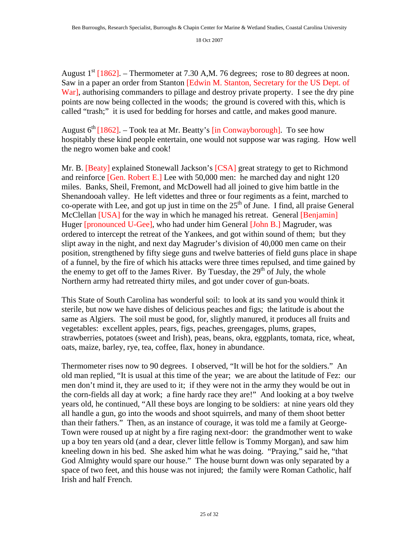August  $1<sup>st</sup>$  [1862]. – Thermometer at 7.30 A,M. 76 degrees; rose to 80 degrees at noon. Saw in a paper an order from Stanton [Edwin M. Stanton, Secretary for the US Dept. of War], authorising commanders to pillage and destroy private property. I see the dry pine points are now being collected in the woods; the ground is covered with this, which is called "trash;" it is used for bedding for horses and cattle, and makes good manure.

August  $6<sup>th</sup>$  [1862]. – Took tea at Mr. Beatty's [in Conwayborough]. To see how hospitably these kind people entertain, one would not suppose war was raging. How well the negro women bake and cook!

Mr. B. [Beaty] explained Stonewall Jackson's [CSA] great strategy to get to Richmond and reinforce  $[Gen. Robert E.]$  Lee with 50,000 men: he marched day and night 120 miles. Banks, Sheil, Fremont, and McDowell had all joined to give him battle in the Shenandooah valley. He left videttes and three or four regiments as a feint, marched to co-operate with Lee, and got up just in time on the  $25<sup>th</sup>$  of June. I find, all praise General McClellan [USA] for the way in which he managed his retreat. General *[Benjamin]* Huger [pronounced U-Gee], who had under him General [John B.] Magruder, was ordered to intercept the retreat of the Yankees, and got within sound of them; but they slipt away in the night, and next day Magruder's division of 40,000 men came on their position, strengthened by fifty siege guns and twelve batteries of field guns place in shape of a funnel, by the fire of which his attacks were three times repulsed, and time gained by the enemy to get off to the James River. By Tuesday, the  $29<sup>th</sup>$  of July, the whole Northern army had retreated thirty miles, and got under cover of gun-boats.

This State of South Carolina has wonderful soil: to look at its sand you would think it sterile, but now we have dishes of delicious peaches and figs; the latitude is about the same as Algiers. The soil must be good, for, slightly manured, it produces all fruits and vegetables: excellent apples, pears, figs, peaches, greengages, plums, grapes, strawberries, potatoes (sweet and Irish), peas, beans, okra, eggplants, tomata, rice, wheat, oats, maize, barley, rye, tea, coffee, flax, honey in abundance.

Thermometer rises now to 90 degrees. I observed, "It will be hot for the soldiers." An old man replied, "It is usual at this time of the year; we are about the latitude of Fez: our men don't mind it, they are used to it; if they were not in the army they would be out in the corn-fields all day at work; a fine hardy race they are!" And looking at a boy twelve years old, he continued, "All these boys are longing to be soldiers: at nine years old they all handle a gun, go into the woods and shoot squirrels, and many of them shoot better than their fathers." Then, as an instance of courage, it was told me a family at George-Town were roused up at night by a fire raging next-door: the grandmother went to wake up a boy ten years old (and a dear, clever little fellow is Tommy Morgan), and saw him kneeling down in his bed. She asked him what he was doing. "Praying," said he, "that God Almighty would spare our house." The house burnt down was only separated by a space of two feet, and this house was not injured; the family were Roman Catholic, half Irish and half French.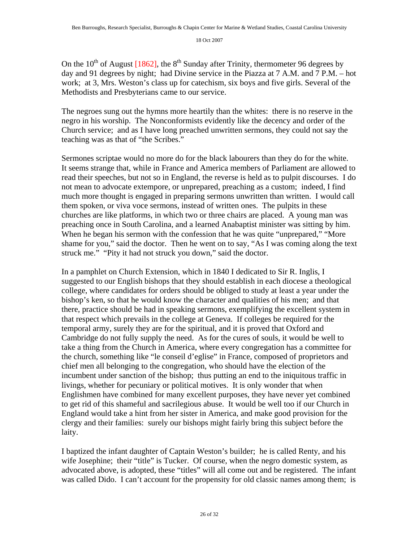On the 10<sup>th</sup> of August [1862], the 8<sup>th</sup> Sunday after Trinity, thermometer 96 degrees by day and 91 degrees by night; had Divine service in the Piazza at 7 A.M. and 7 P.M. – hot work; at 3, Mrs. Weston's class up for catechism, six boys and five girls. Several of the Methodists and Presbyterians came to our service.

The negroes sung out the hymns more heartily than the whites: there is no reserve in the negro in his worship. The Nonconformists evidently like the decency and order of the Church service; and as I have long preached unwritten sermons, they could not say the teaching was as that of "the Scribes."

Sermones scriptae would no more do for the black labourers than they do for the white. It seems strange that, while in France and America members of Parliament are allowed to read their speeches, but not so in England, the reverse is held as to pulpit discourses. I do not mean to advocate extempore, or unprepared, preaching as a custom; indeed, I find much more thought is engaged in preparing sermons unwritten than written. I would call them spoken, or viva voce sermons, instead of written ones. The pulpits in these churches are like platforms, in which two or three chairs are placed. A young man was preaching once in South Carolina, and a learned Anabaptist minister was sitting by him. When he began his sermon with the confession that he was quite "unprepared," "More" shame for you," said the doctor. Then he went on to say, "As I was coming along the text struck me." "Pity it had not struck you down," said the doctor.

In a pamphlet on Church Extension, which in 1840 I dedicated to Sir R. Inglis, I suggested to our English bishops that they should establish in each diocese a theological college, where candidates for orders should be obliged to study at least a year under the bishop's ken, so that he would know the character and qualities of his men; and that there, practice should be had in speaking sermons, exemplifying the excellent system in that respect which prevails in the college at Geneva. If colleges be required for the temporal army, surely they are for the spiritual, and it is proved that Oxford and Cambridge do not fully supply the need. As for the cures of souls, it would be well to take a thing from the Church in America, where every congregation has a committee for the church, something like "le conseil d'eglise" in France, composed of proprietors and chief men all belonging to the congregation, who should have the election of the incumbent under sanction of the bishop; thus putting an end to the iniquitous traffic in livings, whether for pecuniary or political motives. It is only wonder that when Englishmen have combined for many excellent purposes, they have never yet combined to get rid of this shameful and sacrilegious abuse. It would be well too if our Church in England would take a hint from her sister in America, and make good provision for the clergy and their families: surely our bishops might fairly bring this subject before the laity.

I baptized the infant daughter of Captain Weston's builder; he is called Renty, and his wife Josephine; their "title" is Tucker. Of course, when the negro domestic system, as advocated above, is adopted, these "titles" will all come out and be registered. The infant was called Dido. I can't account for the propensity for old classic names among them; is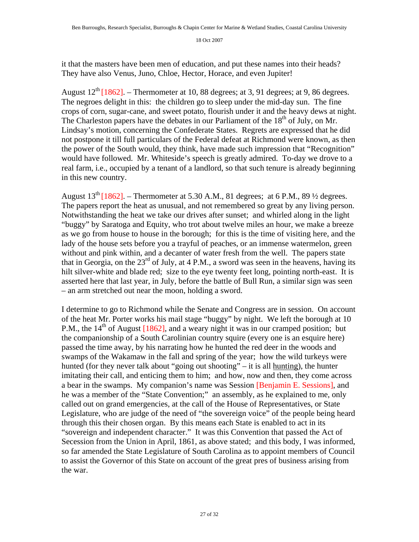it that the masters have been men of education, and put these names into their heads? They have also Venus, Juno, Chloe, Hector, Horace, and even Jupiter!

August  $12^{th}$  [1862]. – Thermometer at 10, 88 degrees; at 3, 91 degrees; at 9, 86 degrees. The negroes delight in this: the children go to sleep under the mid-day sun. The fine crops of corn, sugar-cane, and sweet potato, flourish under it and the heavy dews at night. The Charleston papers have the debates in our Parliament of the  $18<sup>th</sup>$  of July, on Mr. Lindsay's motion, concerning the Confederate States. Regrets are expressed that he did not postpone it till full particulars of the Federal defeat at Richmond were known, as then the power of the South would, they think, have made such impression that "Recognition" would have followed. Mr. Whiteside's speech is greatly admired. To-day we drove to a real farm, i.e., occupied by a tenant of a landlord, so that such tenure is already beginning in this new country.

August  $13^{th}$  [1862]. – Thermometer at 5.30 A.M., 81 degrees; at 6 P.M., 89  $\frac{1}{2}$  degrees. The papers report the heat as unusual, and not remembered so great by any living person. Notwithstanding the heat we take our drives after sunset; and whirled along in the light "buggy" by Saratoga and Equity, who trot about twelve miles an hour, we make a breeze as we go from house to house in the borough; for this is the time of visiting here, and the lady of the house sets before you a trayful of peaches, or an immense watermelon, green without and pink within, and a decanter of water fresh from the well. The papers state that in Georgia, on the  $23<sup>rd</sup>$  of July, at 4 P.M., a sword was seen in the heavens, having its hilt silver-white and blade red; size to the eye twenty feet long, pointing north-east. It is asserted here that last year, in July, before the battle of Bull Run, a similar sign was seen – an arm stretched out near the moon, holding a sword.

I determine to go to Richmond while the Senate and Congress are in session. On account of the heat Mr. Porter works his mail stage "buggy" by night. We left the borough at 10 P.M., the  $14<sup>th</sup>$  of August [1862], and a weary night it was in our cramped position; but the companionship of a South Carolinian country squire (every one is an esquire here) passed the time away, by his narrating how he hunted the red deer in the woods and swamps of the Wakamaw in the fall and spring of the year; how the wild turkeys were hunted (for they never talk about "going out shooting" – it is all hunting), the hunter imitating their call, and enticing them to him; and how, now and then, they come across a bear in the swamps. My companion's name was Session [Benjamin E. Sessions], and he was a member of the "State Convention;" an assembly, as he explained to me, only called out on grand emergencies, at the call of the House of Representatives, or State Legislature, who are judge of the need of "the sovereign voice" of the people being heard through this their chosen organ. By this means each State is enabled to act in its "sovereign and independent character." It was this Convention that passed the Act of Secession from the Union in April, 1861, as above stated; and this body, I was informed, so far amended the State Legislature of South Carolina as to appoint members of Council to assist the Governor of this State on account of the great pres of business arising from the war.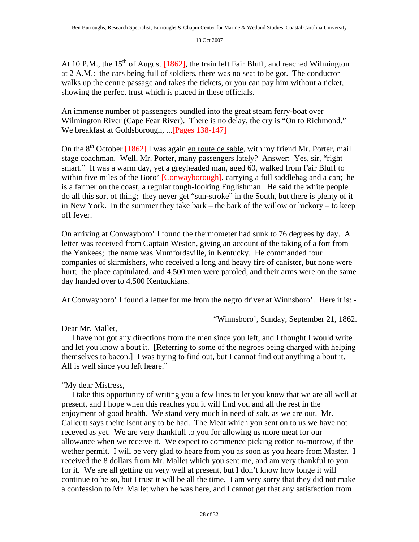At 10 P.M., the 15<sup>th</sup> of August [1862], the train left Fair Bluff, and reached Wilmington at 2 A.M.: the cars being full of soldiers, there was no seat to be got. The conductor walks up the centre passage and takes the tickets, or you can pay him without a ticket, showing the perfect trust which is placed in these officials.

An immense number of passengers bundled into the great steam ferry-boat over Wilmington River (Cape Fear River). There is no delay, the cry is "On to Richmond." We breakfast at Goldsborough, ...[Pages 138-147]

On the  $8<sup>th</sup>$  October [1862] I was again en route de sable, with my friend Mr. Porter, mail stage coachman. Well, Mr. Porter, many passengers lately? Answer: Yes, sir, "right smart." It was a warm day, yet a greyheaded man, aged 60, walked from Fair Bluff to within five miles of the Boro' [Conwayborough], carrying a full saddlebag and a can; he is a farmer on the coast, a regular tough-looking Englishman. He said the white people do all this sort of thing; they never get "sun-stroke" in the South, but there is plenty of it in New York. In the summer they take bark – the bark of the willow or hickory – to keep off fever.

On arriving at Conwayboro' I found the thermometer had sunk to 76 degrees by day. A letter was received from Captain Weston, giving an account of the taking of a fort from the Yankees; the name was Mumfordsville, in Kentucky. He commanded four companies of skirmishers, who received a long and heavy fire of canister, but none were hurt; the place capitulated, and 4,500 men were paroled, and their arms were on the same day handed over to 4,500 Kentuckians.

At Conwayboro' I found a letter for me from the negro driver at Winnsboro'. Here it is: -

"Winnsboro', Sunday, September 21, 1862.

# Dear Mr. Mallet,

 I have not got any directions from the men since you left, and I thought I would write and let you know a bout it. [Referring to some of the negroes being charged with helping themselves to bacon.] I was trying to find out, but I cannot find out anything a bout it. All is well since you left heare."

# "My dear Mistress,

 I take this opportunity of writing you a few lines to let you know that we are all well at present, and I hope when this reaches you it will find you and all the rest in the enjoyment of good health. We stand very much in need of salt, as we are out. Mr. Callcutt says theire isent any to be had. The Meat which you sent on to us we have not receved as yet. We are very thankfull to you for allowing us more meat for our allowance when we receive it. We expect to commence picking cotton to-morrow, if the wether permit. I will be very glad to heare from you as soon as you heare from Master. I received the 8 dollars from Mr. Mallet which you sent me, and am very thankful to you for it. We are all getting on very well at present, but I don't know how longe it will continue to be so, but I trust it will be all the time. I am very sorry that they did not make a confession to Mr. Mallet when he was here, and I cannot get that any satisfaction from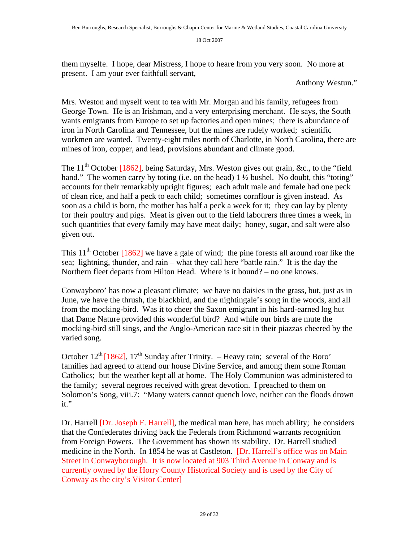them myselfe. I hope, dear Mistress, I hope to heare from you very soon. No more at present. I am your ever faithfull servant,

Anthony Westun."

Mrs. Weston and myself went to tea with Mr. Morgan and his family, refugees from George Town. He is an Irishman, and a very enterprising merchant. He says, the South wants emigrants from Europe to set up factories and open mines; there is abundance of iron in North Carolina and Tennessee, but the mines are rudely worked; scientific workmen are wanted. Twenty-eight miles north of Charlotte, in North Carolina, there are mines of iron, copper, and lead, provisions abundant and climate good.

The  $11<sup>th</sup>$  October [1862], being Saturday, Mrs. Weston gives out grain, &c., to the "field" hand." The women carry by toting (i.e. on the head) 1  $\frac{1}{2}$  bushel. No doubt, this "toting" accounts for their remarkably upright figures; each adult male and female had one peck of clean rice, and half a peck to each child; sometimes cornflour is given instead. As soon as a child is born, the mother has half a peck a week for it; they can lay by plenty for their poultry and pigs. Meat is given out to the field labourers three times a week, in such quantities that every family may have meat daily; honey, sugar, and salt were also given out.

This  $11<sup>th</sup>$  October [1862] we have a gale of wind; the pine forests all around roar like the sea; lightning, thunder, and rain – what they call here "battle rain." It is the day the Northern fleet departs from Hilton Head. Where is it bound? – no one knows.

Conwayboro' has now a pleasant climate; we have no daisies in the grass, but, just as in June, we have the thrush, the blackbird, and the nightingale's song in the woods, and all from the mocking-bird. Was it to cheer the Saxon emigrant in his hard-earned log hut that Dame Nature provided this wonderful bird? And while our birds are mute the mocking-bird still sings, and the Anglo-American race sit in their piazzas cheered by the varied song.

October  $12^{th}$  [1862],  $17^{th}$  Sunday after Trinity. – Heavy rain; several of the Boro' families had agreed to attend our house Divine Service, and among them some Roman Catholics; but the weather kept all at home. The Holy Communion was administered to the family; several negroes received with great devotion. I preached to them on Solomon's Song, viii.7: "Many waters cannot quench love, neither can the floods drown it."

Dr. Harrell [Dr. Joseph F. Harrell], the medical man here, has much ability; he considers that the Confederates driving back the Federals from Richmond warrants recognition from Foreign Powers. The Government has shown its stability. Dr. Harrell studied medicine in the North. In 1854 he was at Castleton. [Dr. Harrell's office was on Main Street in Conwayborough. It is now located at 903 Third Avenue in Conway and is currently owned by the Horry County Historical Society and is used by the City of Conway as the city's Visitor Center]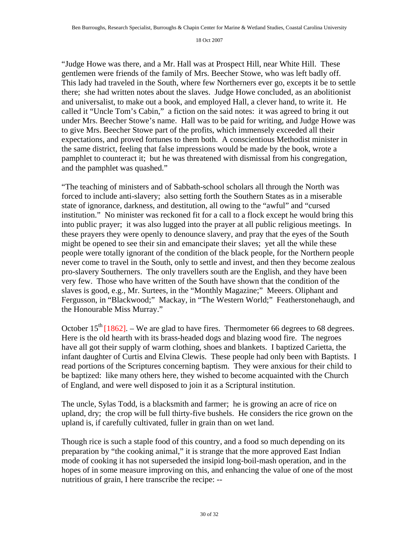"Judge Howe was there, and a Mr. Hall was at Prospect Hill, near White Hill. These gentlemen were friends of the family of Mrs. Beecher Stowe, who was left badly off. This lady had traveled in the South, where few Northerners ever go, excepts it be to settle there; she had written notes about the slaves. Judge Howe concluded, as an abolitionist and universalist, to make out a book, and employed Hall, a clever hand, to write it. He called it "Uncle Tom's Cabin," a fiction on the said notes: it was agreed to bring it out under Mrs. Beecher Stowe's name. Hall was to be paid for writing, and Judge Howe was to give Mrs. Beecher Stowe part of the profits, which immensely exceeded all their expectations, and proved fortunes to them both. A conscientious Methodist minister in the same district, feeling that false impressions would be made by the book, wrote a pamphlet to counteract it; but he was threatened with dismissal from his congregation, and the pamphlet was quashed."

"The teaching of ministers and of Sabbath-school scholars all through the North was forced to include anti-slavery; also setting forth the Southern States as in a miserable state of ignorance, darkness, and destitution, all owing to the "awful" and "cursed institution." No minister was reckoned fit for a call to a flock except he would bring this into public prayer; it was also lugged into the prayer at all public religious meetings. In these prayers they were openly to denounce slavery, and pray that the eyes of the South might be opened to see their sin and emancipate their slaves; yet all the while these people were totally ignorant of the condition of the black people, for the Northern people never come to travel in the South, only to settle and invest, and then they become zealous pro-slavery Southerners. The only travellers south are the English, and they have been very few. Those who have written of the South have shown that the condition of the slaves is good, e.g., Mr. Surtees, in the "Monthly Magazine;" Meeers. Oliphant and Fergusson, in "Blackwood;" Mackay, in "The Western World;" Featherstonehaugh, and the Honourable Miss Murray."

October  $15^{th}$  [1862]. – We are glad to have fires. Thermometer 66 degrees to 68 degrees. Here is the old hearth with its brass-headed dogs and blazing wood fire. The negroes have all got their supply of warm clothing, shoes and blankets. I baptized Carietta, the infant daughter of Curtis and Elvina Clewis. These people had only been with Baptists. I read portions of the Scriptures concerning baptism. They were anxious for their child to be baptized: like many others here, they wished to become acquainted with the Church of England, and were well disposed to join it as a Scriptural institution.

The uncle, Sylas Todd, is a blacksmith and farmer; he is growing an acre of rice on upland, dry; the crop will be full thirty-five bushels. He considers the rice grown on the upland is, if carefully cultivated, fuller in grain than on wet land.

Though rice is such a staple food of this country, and a food so much depending on its preparation by "the cooking animal," it is strange that the more approved East Indian mode of cooking it has not superseded the insipid long-boil-mash operation, and in the hopes of in some measure improving on this, and enhancing the value of one of the most nutritious of grain, I here transcribe the recipe: --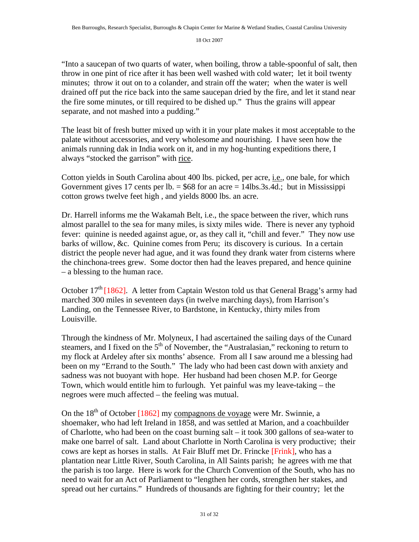"Into a saucepan of two quarts of water, when boiling, throw a table-spoonful of salt, then throw in one pint of rice after it has been well washed with cold water; let it boil twenty minutes; throw it out on to a colander, and strain off the water; when the water is well drained off put the rice back into the same saucepan dried by the fire, and let it stand near the fire some minutes, or till required to be dished up." Thus the grains will appear separate, and not mashed into a pudding."

The least bit of fresh butter mixed up with it in your plate makes it most acceptable to the palate without accessories, and very wholesome and nourishing. I have seen how the animals running dak in India work on it, and in my hog-hunting expeditions there, I always "stocked the garrison" with rice.

Cotton yields in South Carolina about 400 lbs. picked, per acre, i.e., one bale, for which Government gives 17 cents per lb.  $= $68$  for an acre  $= 14$ lbs.3s.4d.; but in Mississippi cotton grows twelve feet high , and yields 8000 lbs. an acre.

Dr. Harrell informs me the Wakamah Belt, i.e., the space between the river, which runs almost parallel to the sea for many miles, is sixty miles wide. There is never any typhoid fever: quinine is needed against ague, or, as they call it, "chill and fever." They now use barks of willow, &c. Quinine comes from Peru; its discovery is curious. In a certain district the people never had ague, and it was found they drank water from cisterns where the chinchona-trees grew. Some doctor then had the leaves prepared, and hence quinine – a blessing to the human race.

October  $17<sup>th</sup>$  [1862]. A letter from Captain Weston told us that General Bragg's army had marched 300 miles in seventeen days (in twelve marching days), from Harrison's Landing, on the Tennessee River, to Bardstone, in Kentucky, thirty miles from Louisville.

Through the kindness of Mr. Molyneux, I had ascertained the sailing days of the Cunard steamers, and I fixed on the  $5<sup>th</sup>$  of November, the "Australasian," reckoning to return to my flock at Ardeley after six months' absence. From all I saw around me a blessing had been on my "Errand to the South." The lady who had been cast down with anxiety and sadness was not buoyant with hope. Her husband had been chosen M.P. for George Town, which would entitle him to furlough. Yet painful was my leave-taking – the negroes were much affected – the feeling was mutual.

On the  $18<sup>th</sup>$  of October [1862] my compagnons de voyage were Mr. Swinnie, a shoemaker, who had left Ireland in 1858, and was settled at Marion, and a coachbuilder of Charlotte, who had been on the coast burning salt – it took 300 gallons of sea-water to make one barrel of salt. Land about Charlotte in North Carolina is very productive; their cows are kept as horses in stalls. At Fair Bluff met Dr. Frincke [Frink], who has a plantation near Little River, South Carolina, in All Saints parish; he agrees with me that the parish is too large. Here is work for the Church Convention of the South, who has no need to wait for an Act of Parliament to "lengthen her cords, strengthen her stakes, and spread out her curtains." Hundreds of thousands are fighting for their country; let the